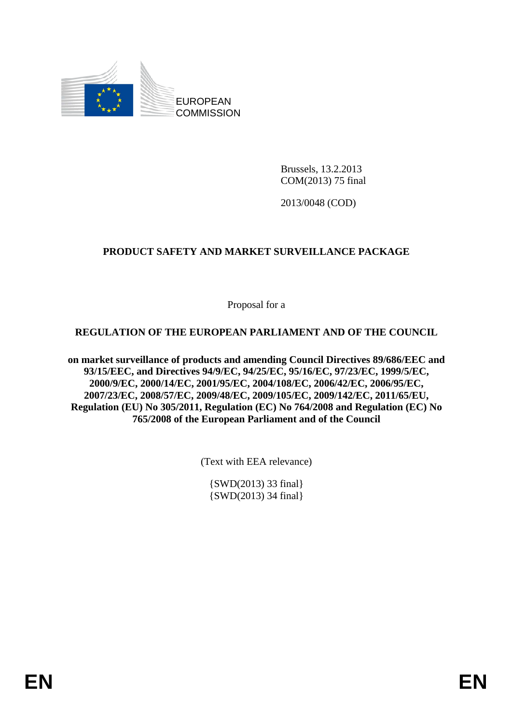

Brussels, 13.2.2013 COM(2013) 75 final

2013/0048 (COD)

## **PRODUCT SAFETY AND MARKET SURVEILLANCE PACKAGE**

Proposal for a

## **REGULATION OF THE EUROPEAN PARLIAMENT AND OF THE COUNCIL**

**on market surveillance of products and amending Council Directives 89/686/EEC and 93/15/EEC, and Directives 94/9/EC, 94/25/EC, 95/16/EC, 97/23/EC, 1999/5/EC, 2000/9/EC, 2000/14/EC, 2001/95/EC, 2004/108/EC, 2006/42/EC, 2006/95/EC, 2007/23/EC, 2008/57/EC, 2009/48/EC, 2009/105/EC, 2009/142/EC, 2011/65/EU, Regulation (EU) No 305/2011, Regulation (EC) No 764/2008 and Regulation (EC) No 765/2008 of the European Parliament and of the Council** 

(Text with EEA relevance)

{SWD(2013) 33 final} {SWD(2013) 34 final}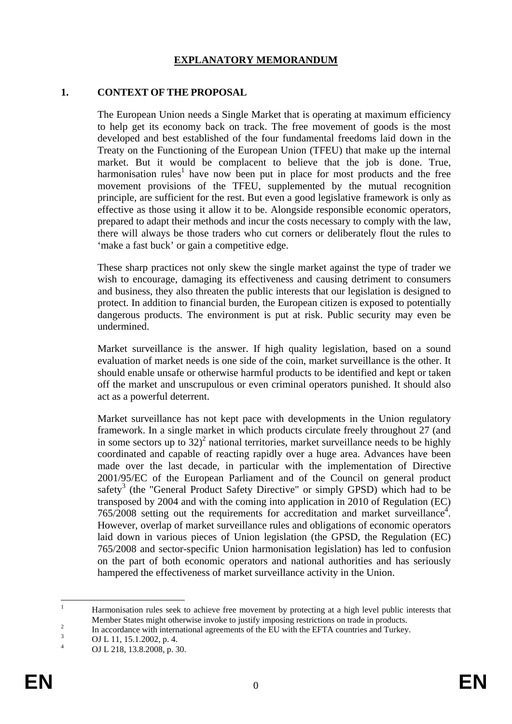#### **EXPLANATORY MEMORANDUM**

#### **1. CONTEXT OF THE PROPOSAL**

The European Union needs a Single Market that is operating at maximum efficiency to help get its economy back on track. The free movement of goods is the most developed and best established of the four fundamental freedoms laid down in the Treaty on the Functioning of the European Union (TFEU) that make up the internal market. But it would be complacent to believe that the job is done. True, harmonisation rules<sup>1</sup> have now been put in place for most products and the free movement provisions of the TFEU, supplemented by the mutual recognition principle, are sufficient for the rest. But even a good legislative framework is only as effective as those using it allow it to be. Alongside responsible economic operators, prepared to adapt their methods and incur the costs necessary to comply with the law, there will always be those traders who cut corners or deliberately flout the rules to 'make a fast buck' or gain a competitive edge.

These sharp practices not only skew the single market against the type of trader we wish to encourage, damaging its effectiveness and causing detriment to consumers and business, they also threaten the public interests that our legislation is designed to protect. In addition to financial burden, the European citizen is exposed to potentially dangerous products. The environment is put at risk. Public security may even be undermined.

Market surveillance is the answer. If high quality legislation, based on a sound evaluation of market needs is one side of the coin, market surveillance is the other. It should enable unsafe or otherwise harmful products to be identified and kept or taken off the market and unscrupulous or even criminal operators punished. It should also act as a powerful deterrent.

Market surveillance has not kept pace with developments in the Union regulatory framework. In a single market in which products circulate freely throughout 27 (and in some sectors up to  $32)^2$  national territories, market surveillance needs to be highly coordinated and capable of reacting rapidly over a huge area. Advances have been made over the last decade, in particular with the implementation of Directive 2001/95/EC of the European Parliament and of the Council on general product safety<sup>3</sup> (the "General Product Safety Directive" or simply GPSD) which had to be transposed by 2004 and with the coming into application in 2010 of Regulation (EC)  $765/2008$  setting out the requirements for accreditation and market surveillance<sup>4</sup>. However, overlap of market surveillance rules and obligations of economic operators laid down in various pieces of Union legislation (the GPSD, the Regulation (EC) 765/2008 and sector-specific Union harmonisation legislation) has led to confusion on the part of both economic operators and national authorities and has seriously hampered the effectiveness of market surveillance activity in the Union.

 $\frac{1}{1}$  Harmonisation rules seek to achieve free movement by protecting at a high level public interests that Member States might otherwise invoke to justify imposing restrictions on trade in products.

 $\frac{2}{3}$  In accordance with international agreements of the EU with the EFTA countries and Turkey.

OJ L 11, 15.1.2002, p. 4.

<sup>4</sup> OJ L 218, 13.8.2008, p. 30.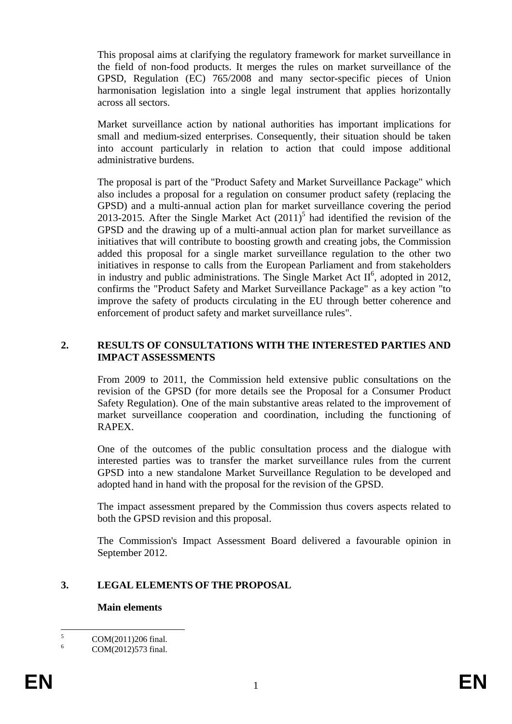This proposal aims at clarifying the regulatory framework for market surveillance in the field of non-food products. It merges the rules on market surveillance of the GPSD, Regulation (EC) 765/2008 and many sector-specific pieces of Union harmonisation legislation into a single legal instrument that applies horizontally across all sectors.

Market surveillance action by national authorities has important implications for small and medium-sized enterprises. Consequently, their situation should be taken into account particularly in relation to action that could impose additional administrative burdens.

The proposal is part of the "Product Safety and Market Surveillance Package" which also includes a proposal for a regulation on consumer product safety (replacing the GPSD) and a multi-annual action plan for market surveillance covering the period 2013-2015. After the Single Market Act  $(2011)^5$  had identified the revision of the GPSD and the drawing up of a multi-annual action plan for market surveillance as initiatives that will contribute to boosting growth and creating jobs, the Commission added this proposal for a single market surveillance regulation to the other two initiatives in response to calls from the European Parliament and from stakeholders in industry and public administrations. The Single Market Act  $II^6$ , adopted in 2012, confirms the "Product Safety and Market Surveillance Package" as a key action "to improve the safety of products circulating in the EU through better coherence and enforcement of product safety and market surveillance rules".

#### **2. RESULTS OF CONSULTATIONS WITH THE INTERESTED PARTIES AND IMPACT ASSESSMENTS**

From 2009 to 2011, the Commission held extensive public consultations on the revision of the GPSD (for more details see the Proposal for a Consumer Product Safety Regulation). One of the main substantive areas related to the improvement of market surveillance cooperation and coordination, including the functioning of RAPEX.

One of the outcomes of the public consultation process and the dialogue with interested parties was to transfer the market surveillance rules from the current GPSD into a new standalone Market Surveillance Regulation to be developed and adopted hand in hand with the proposal for the revision of the GPSD.

The impact assessment prepared by the Commission thus covers aspects related to both the GPSD revision and this proposal.

The Commission's Impact Assessment Board delivered a favourable opinion in September 2012.

#### **3. LEGAL ELEMENTS OF THE PROPOSAL**

#### **Main elements**

 $\frac{1}{5}$ COM(2011)206 final.

<sup>6</sup> COM(2012)573 final.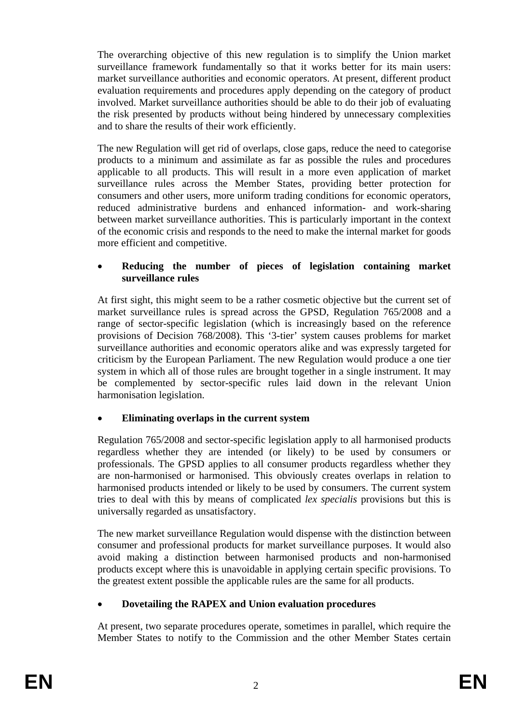The overarching objective of this new regulation is to simplify the Union market surveillance framework fundamentally so that it works better for its main users: market surveillance authorities and economic operators. At present, different product evaluation requirements and procedures apply depending on the category of product involved. Market surveillance authorities should be able to do their job of evaluating the risk presented by products without being hindered by unnecessary complexities and to share the results of their work efficiently.

The new Regulation will get rid of overlaps, close gaps, reduce the need to categorise products to a minimum and assimilate as far as possible the rules and procedures applicable to all products. This will result in a more even application of market surveillance rules across the Member States, providing better protection for consumers and other users, more uniform trading conditions for economic operators, reduced administrative burdens and enhanced information- and work-sharing between market surveillance authorities. This is particularly important in the context of the economic crisis and responds to the need to make the internal market for goods more efficient and competitive.

### • **Reducing the number of pieces of legislation containing market surveillance rules**

At first sight, this might seem to be a rather cosmetic objective but the current set of market surveillance rules is spread across the GPSD, Regulation 765/2008 and a range of sector-specific legislation (which is increasingly based on the reference provisions of Decision 768/2008). This '3-tier' system causes problems for market surveillance authorities and economic operators alike and was expressly targeted for criticism by the European Parliament. The new Regulation would produce a one tier system in which all of those rules are brought together in a single instrument. It may be complemented by sector-specific rules laid down in the relevant Union harmonisation legislation.

## • **Eliminating overlaps in the current system**

Regulation 765/2008 and sector-specific legislation apply to all harmonised products regardless whether they are intended (or likely) to be used by consumers or professionals. The GPSD applies to all consumer products regardless whether they are non-harmonised or harmonised. This obviously creates overlaps in relation to harmonised products intended or likely to be used by consumers. The current system tries to deal with this by means of complicated *lex specialis* provisions but this is universally regarded as unsatisfactory.

The new market surveillance Regulation would dispense with the distinction between consumer and professional products for market surveillance purposes. It would also avoid making a distinction between harmonised products and non-harmonised products except where this is unavoidable in applying certain specific provisions. To the greatest extent possible the applicable rules are the same for all products.

## • **Dovetailing the RAPEX and Union evaluation procedures**

At present, two separate procedures operate, sometimes in parallel, which require the Member States to notify to the Commission and the other Member States certain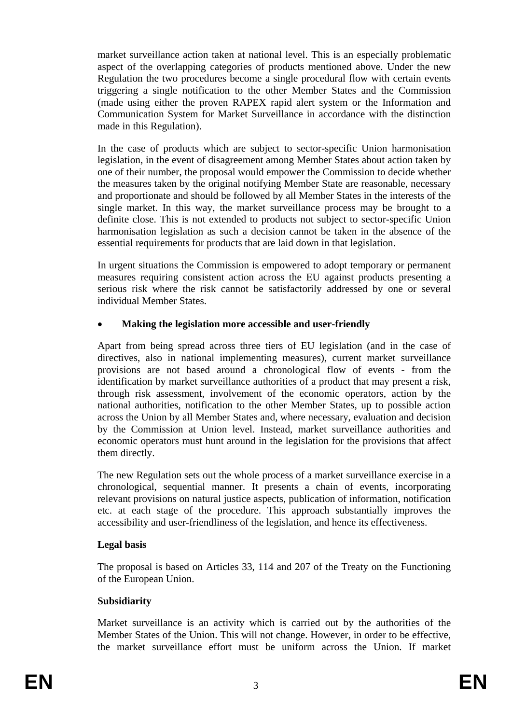market surveillance action taken at national level. This is an especially problematic aspect of the overlapping categories of products mentioned above. Under the new Regulation the two procedures become a single procedural flow with certain events triggering a single notification to the other Member States and the Commission (made using either the proven RAPEX rapid alert system or the Information and Communication System for Market Surveillance in accordance with the distinction made in this Regulation).

In the case of products which are subject to sector-specific Union harmonisation legislation, in the event of disagreement among Member States about action taken by one of their number, the proposal would empower the Commission to decide whether the measures taken by the original notifying Member State are reasonable, necessary and proportionate and should be followed by all Member States in the interests of the single market. In this way, the market surveillance process may be brought to a definite close. This is not extended to products not subject to sector-specific Union harmonisation legislation as such a decision cannot be taken in the absence of the essential requirements for products that are laid down in that legislation.

In urgent situations the Commission is empowered to adopt temporary or permanent measures requiring consistent action across the EU against products presenting a serious risk where the risk cannot be satisfactorily addressed by one or several individual Member States.

## • **Making the legislation more accessible and user-friendly**

Apart from being spread across three tiers of EU legislation (and in the case of directives, also in national implementing measures), current market surveillance provisions are not based around a chronological flow of events - from the identification by market surveillance authorities of a product that may present a risk, through risk assessment, involvement of the economic operators, action by the national authorities, notification to the other Member States, up to possible action across the Union by all Member States and, where necessary, evaluation and decision by the Commission at Union level. Instead, market surveillance authorities and economic operators must hunt around in the legislation for the provisions that affect them directly.

The new Regulation sets out the whole process of a market surveillance exercise in a chronological, sequential manner. It presents a chain of events, incorporating relevant provisions on natural justice aspects, publication of information, notification etc. at each stage of the procedure. This approach substantially improves the accessibility and user-friendliness of the legislation, and hence its effectiveness.

## **Legal basis**

The proposal is based on Articles 33, 114 and 207 of the Treaty on the Functioning of the European Union.

## **Subsidiarity**

Market surveillance is an activity which is carried out by the authorities of the Member States of the Union. This will not change. However, in order to be effective, the market surveillance effort must be uniform across the Union. If market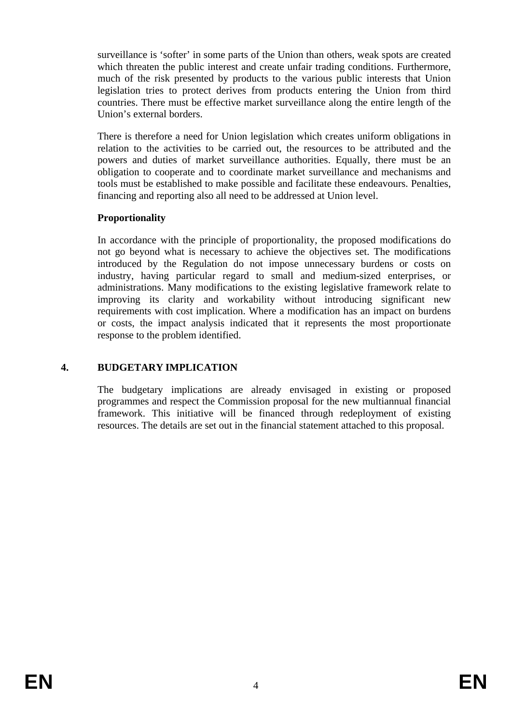surveillance is 'softer' in some parts of the Union than others, weak spots are created which threaten the public interest and create unfair trading conditions. Furthermore, much of the risk presented by products to the various public interests that Union legislation tries to protect derives from products entering the Union from third countries. There must be effective market surveillance along the entire length of the Union's external borders.

There is therefore a need for Union legislation which creates uniform obligations in relation to the activities to be carried out, the resources to be attributed and the powers and duties of market surveillance authorities. Equally, there must be an obligation to cooperate and to coordinate market surveillance and mechanisms and tools must be established to make possible and facilitate these endeavours. Penalties, financing and reporting also all need to be addressed at Union level.

## **Proportionality**

In accordance with the principle of proportionality, the proposed modifications do not go beyond what is necessary to achieve the objectives set. The modifications introduced by the Regulation do not impose unnecessary burdens or costs on industry, having particular regard to small and medium-sized enterprises, or administrations. Many modifications to the existing legislative framework relate to improving its clarity and workability without introducing significant new requirements with cost implication. Where a modification has an impact on burdens or costs, the impact analysis indicated that it represents the most proportionate response to the problem identified.

### **4. BUDGETARY IMPLICATION**

The budgetary implications are already envisaged in existing or proposed programmes and respect the Commission proposal for the new multiannual financial framework. This initiative will be financed through redeployment of existing resources. The details are set out in the financial statement attached to this proposal.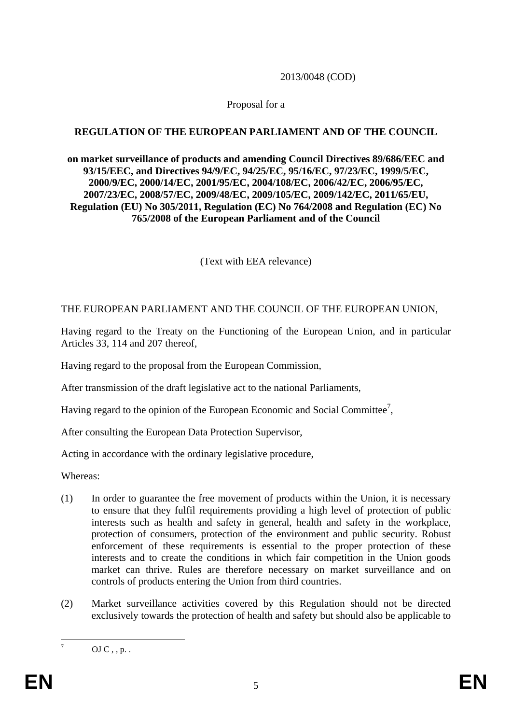#### 2013/0048 (COD)

#### Proposal for a

### **REGULATION OF THE EUROPEAN PARLIAMENT AND OF THE COUNCIL**

#### **on market surveillance of products and amending Council Directives 89/686/EEC and 93/15/EEC, and Directives 94/9/EC, 94/25/EC, 95/16/EC, 97/23/EC, 1999/5/EC, 2000/9/EC, 2000/14/EC, 2001/95/EC, 2004/108/EC, 2006/42/EC, 2006/95/EC, 2007/23/EC, 2008/57/EC, 2009/48/EC, 2009/105/EC, 2009/142/EC, 2011/65/EU, Regulation (EU) No 305/2011, Regulation (EC) No 764/2008 and Regulation (EC) No 765/2008 of the European Parliament and of the Council**

(Text with EEA relevance)

### THE EUROPEAN PARLIAMENT AND THE COUNCIL OF THE EUROPEAN UNION,

Having regard to the Treaty on the Functioning of the European Union, and in particular Articles 33, 114 and 207 thereof,

Having regard to the proposal from the European Commission,

After transmission of the draft legislative act to the national Parliaments,

Having regard to the opinion of the European Economic and Social Committee<sup>7</sup>,

After consulting the European Data Protection Supervisor,

Acting in accordance with the ordinary legislative procedure,

Whereas:

- (1) In order to guarantee the free movement of products within the Union, it is necessary to ensure that they fulfil requirements providing a high level of protection of public interests such as health and safety in general, health and safety in the workplace, protection of consumers, protection of the environment and public security. Robust enforcement of these requirements is essential to the proper protection of these interests and to create the conditions in which fair competition in the Union goods market can thrive. Rules are therefore necessary on market surveillance and on controls of products entering the Union from third countries.
- (2) Market surveillance activities covered by this Regulation should not be directed exclusively towards the protection of health and safety but should also be applicable to

—<br>7

OJ  $C$ , , p. .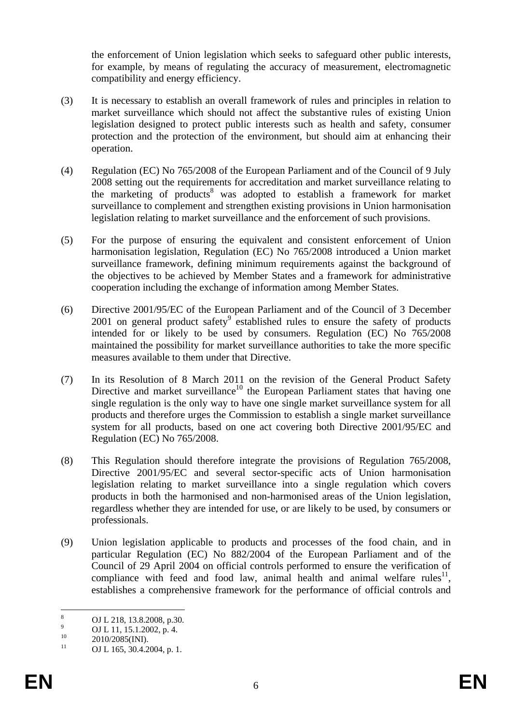the enforcement of Union legislation which seeks to safeguard other public interests, for example, by means of regulating the accuracy of measurement, electromagnetic compatibility and energy efficiency.

- (3) It is necessary to establish an overall framework of rules and principles in relation to market surveillance which should not affect the substantive rules of existing Union legislation designed to protect public interests such as health and safety, consumer protection and the protection of the environment, but should aim at enhancing their operation.
- (4) Regulation (EC) No 765/2008 of the European Parliament and of the Council of 9 July 2008 setting out the requirements for accreditation and market surveillance relating to the marketing of products<sup>8</sup> was adopted to establish a framework for market surveillance to complement and strengthen existing provisions in Union harmonisation legislation relating to market surveillance and the enforcement of such provisions.
- (5) For the purpose of ensuring the equivalent and consistent enforcement of Union harmonisation legislation, Regulation (EC) No 765/2008 introduced a Union market surveillance framework, defining minimum requirements against the background of the objectives to be achieved by Member States and a framework for administrative cooperation including the exchange of information among Member States.
- (6) Directive 2001/95/EC of the European Parliament and of the Council of 3 December 2001 on general product safety $9$  established rules to ensure the safety of products intended for or likely to be used by consumers. Regulation (EC) No 765/2008 maintained the possibility for market surveillance authorities to take the more specific measures available to them under that Directive.
- (7) In its Resolution of 8 March 2011 on the revision of the General Product Safety Directive and market surveillance<sup>10</sup> the European Parliament states that having one single regulation is the only way to have one single market surveillance system for all products and therefore urges the Commission to establish a single market surveillance system for all products, based on one act covering both Directive 2001/95/EC and Regulation (EC) No 765/2008.
- (8) This Regulation should therefore integrate the provisions of Regulation 765/2008, Directive 2001/95/EC and several sector-specific acts of Union harmonisation legislation relating to market surveillance into a single regulation which covers products in both the harmonised and non-harmonised areas of the Union legislation, regardless whether they are intended for use, or are likely to be used, by consumers or professionals.
- (9) Union legislation applicable to products and processes of the food chain, and in particular Regulation (EC) No 882/2004 of the European Parliament and of the Council of 29 April 2004 on official controls performed to ensure the verification of compliance with feed and food law, animal health and animal welfare rules<sup>11</sup>, establishes a comprehensive framework for the performance of official controls and

 $\frac{1}{8}$  OJ L 218, 13.8.2008, p.30. 9

 $^{9}$  OJ L 11, 15.1.2002, p. 4.<br>
2010/2025/DJD

 $^{10}$  2010/2085(INI).

OJ L 165, 30.4.2004, p. 1.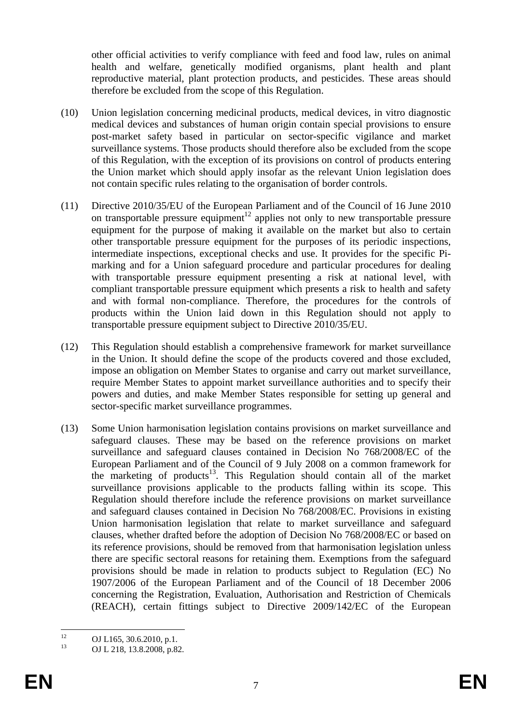other official activities to verify compliance with feed and food law, rules on animal health and welfare, genetically modified organisms, plant health and plant reproductive material, plant protection products, and pesticides. These areas should therefore be excluded from the scope of this Regulation.

- (10) Union legislation concerning medicinal products, medical devices, in vitro diagnostic medical devices and substances of human origin contain special provisions to ensure post-market safety based in particular on sector-specific vigilance and market surveillance systems. Those products should therefore also be excluded from the scope of this Regulation, with the exception of its provisions on control of products entering the Union market which should apply insofar as the relevant Union legislation does not contain specific rules relating to the organisation of border controls.
- (11) Directive 2010/35/EU of the European Parliament and of the Council of 16 June 2010 on transportable pressure equipment<sup>12</sup> applies not only to new transportable pressure equipment for the purpose of making it available on the market but also to certain other transportable pressure equipment for the purposes of its periodic inspections, intermediate inspections, exceptional checks and use. It provides for the specific Pimarking and for a Union safeguard procedure and particular procedures for dealing with transportable pressure equipment presenting a risk at national level, with compliant transportable pressure equipment which presents a risk to health and safety and with formal non-compliance. Therefore, the procedures for the controls of products within the Union laid down in this Regulation should not apply to transportable pressure equipment subject to Directive 2010/35/EU.
- (12) This Regulation should establish a comprehensive framework for market surveillance in the Union. It should define the scope of the products covered and those excluded, impose an obligation on Member States to organise and carry out market surveillance, require Member States to appoint market surveillance authorities and to specify their powers and duties, and make Member States responsible for setting up general and sector-specific market surveillance programmes.
- (13) Some Union harmonisation legislation contains provisions on market surveillance and safeguard clauses. These may be based on the reference provisions on market surveillance and safeguard clauses contained in Decision No 768/2008/EC of the European Parliament and of the Council of 9 July 2008 on a common framework for the marketing of products<sup>13</sup>. This Regulation should contain all of the market surveillance provisions applicable to the products falling within its scope. This Regulation should therefore include the reference provisions on market surveillance and safeguard clauses contained in Decision No 768/2008/EC. Provisions in existing Union harmonisation legislation that relate to market surveillance and safeguard clauses, whether drafted before the adoption of Decision No 768/2008/EC or based on its reference provisions, should be removed from that harmonisation legislation unless there are specific sectoral reasons for retaining them. Exemptions from the safeguard provisions should be made in relation to products subject to Regulation (EC) No 1907/2006 of the European Parliament and of the Council of 18 December 2006 concerning the Registration, Evaluation, Authorisation and Restriction of Chemicals (REACH), certain fittings subject to Directive 2009/142/EC of the European

 $12$ <sup>12</sup> OJ L165, 30.6.2010, p.1.<br>
OJ L165, 30.6.2010, p.1.

OJ L 218, 13.8.2008, p.82.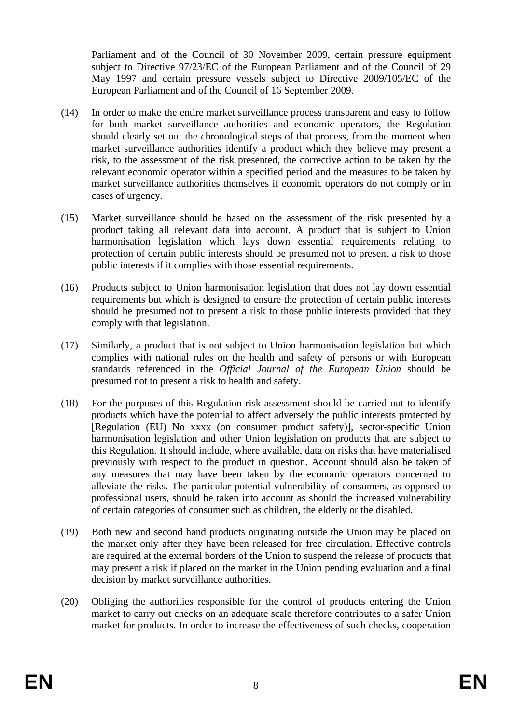Parliament and of the Council of 30 November 2009, certain pressure equipment subject to Directive 97/23/EC of the European Parliament and of the Council of 29 May 1997 and certain pressure vessels subject to Directive 2009/105/EC of the European Parliament and of the Council of 16 September 2009.

- (14) In order to make the entire market surveillance process transparent and easy to follow for both market surveillance authorities and economic operators, the Regulation should clearly set out the chronological steps of that process, from the moment when market surveillance authorities identify a product which they believe may present a risk, to the assessment of the risk presented, the corrective action to be taken by the relevant economic operator within a specified period and the measures to be taken by market surveillance authorities themselves if economic operators do not comply or in cases of urgency.
- (15) Market surveillance should be based on the assessment of the risk presented by a product taking all relevant data into account. A product that is subject to Union harmonisation legislation which lays down essential requirements relating to protection of certain public interests should be presumed not to present a risk to those public interests if it complies with those essential requirements.
- (16) Products subject to Union harmonisation legislation that does not lay down essential requirements but which is designed to ensure the protection of certain public interests should be presumed not to present a risk to those public interests provided that they comply with that legislation.
- (17) Similarly, a product that is not subject to Union harmonisation legislation but which complies with national rules on the health and safety of persons or with European standards referenced in the *Official Journal of the European Union* should be presumed not to present a risk to health and safety.
- (18) For the purposes of this Regulation risk assessment should be carried out to identify products which have the potential to affect adversely the public interests protected by [Regulation (EU) No xxxx (on consumer product safety)], sector-specific Union harmonisation legislation and other Union legislation on products that are subject to this Regulation. It should include, where available, data on risks that have materialised previously with respect to the product in question. Account should also be taken of any measures that may have been taken by the economic operators concerned to alleviate the risks. The particular potential vulnerability of consumers, as opposed to professional users, should be taken into account as should the increased vulnerability of certain categories of consumer such as children, the elderly or the disabled.
- (19) Both new and second hand products originating outside the Union may be placed on the market only after they have been released for free circulation. Effective controls are required at the external borders of the Union to suspend the release of products that may present a risk if placed on the market in the Union pending evaluation and a final decision by market surveillance authorities.
- (20) Obliging the authorities responsible for the control of products entering the Union market to carry out checks on an adequate scale therefore contributes to a safer Union market for products. In order to increase the effectiveness of such checks, cooperation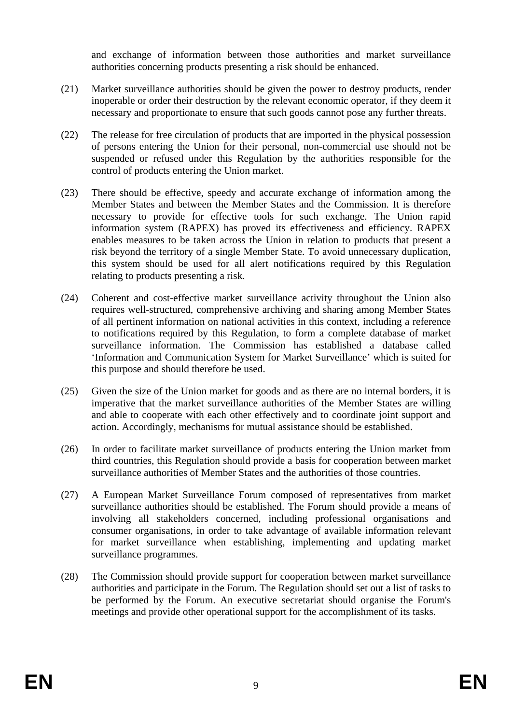and exchange of information between those authorities and market surveillance authorities concerning products presenting a risk should be enhanced.

- (21) Market surveillance authorities should be given the power to destroy products, render inoperable or order their destruction by the relevant economic operator, if they deem it necessary and proportionate to ensure that such goods cannot pose any further threats.
- (22) The release for free circulation of products that are imported in the physical possession of persons entering the Union for their personal, non-commercial use should not be suspended or refused under this Regulation by the authorities responsible for the control of products entering the Union market.
- (23) There should be effective, speedy and accurate exchange of information among the Member States and between the Member States and the Commission. It is therefore necessary to provide for effective tools for such exchange. The Union rapid information system (RAPEX) has proved its effectiveness and efficiency. RAPEX enables measures to be taken across the Union in relation to products that present a risk beyond the territory of a single Member State. To avoid unnecessary duplication, this system should be used for all alert notifications required by this Regulation relating to products presenting a risk.
- (24) Coherent and cost-effective market surveillance activity throughout the Union also requires well-structured, comprehensive archiving and sharing among Member States of all pertinent information on national activities in this context, including a reference to notifications required by this Regulation, to form a complete database of market surveillance information. The Commission has established a database called 'Information and Communication System for Market Surveillance' which is suited for this purpose and should therefore be used.
- (25) Given the size of the Union market for goods and as there are no internal borders, it is imperative that the market surveillance authorities of the Member States are willing and able to cooperate with each other effectively and to coordinate joint support and action. Accordingly, mechanisms for mutual assistance should be established.
- (26) In order to facilitate market surveillance of products entering the Union market from third countries, this Regulation should provide a basis for cooperation between market surveillance authorities of Member States and the authorities of those countries.
- (27) A European Market Surveillance Forum composed of representatives from market surveillance authorities should be established. The Forum should provide a means of involving all stakeholders concerned, including professional organisations and consumer organisations, in order to take advantage of available information relevant for market surveillance when establishing, implementing and updating market surveillance programmes.
- (28) The Commission should provide support for cooperation between market surveillance authorities and participate in the Forum. The Regulation should set out a list of tasks to be performed by the Forum. An executive secretariat should organise the Forum's meetings and provide other operational support for the accomplishment of its tasks.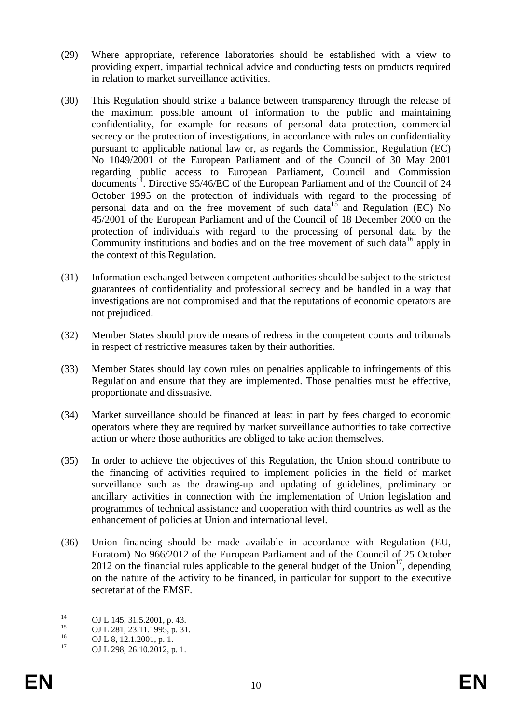- (29) Where appropriate, reference laboratories should be established with a view to providing expert, impartial technical advice and conducting tests on products required in relation to market surveillance activities.
- (30) This Regulation should strike a balance between transparency through the release of the maximum possible amount of information to the public and maintaining confidentiality, for example for reasons of personal data protection, commercial secrecy or the protection of investigations, in accordance with rules on confidentiality pursuant to applicable national law or, as regards the Commission, Regulation (EC) No 1049/2001 of the European Parliament and of the Council of 30 May 2001 regarding public access to European Parliament, Council and Commission documents<sup>14</sup>. Directive 95/46/EC of the European Parliament and of the Council of 24 October 1995 on the protection of individuals with regard to the processing of personal data and on the free movement of such data<sup>15</sup> and Regulation (EC) No 45/2001 of the European Parliament and of the Council of 18 December 2000 on the protection of individuals with regard to the processing of personal data by the Community institutions and bodies and on the free movement of such data<sup>16</sup> apply in the context of this Regulation.
- (31) Information exchanged between competent authorities should be subject to the strictest guarantees of confidentiality and professional secrecy and be handled in a way that investigations are not compromised and that the reputations of economic operators are not prejudiced.
- (32) Member States should provide means of redress in the competent courts and tribunals in respect of restrictive measures taken by their authorities.
- (33) Member States should lay down rules on penalties applicable to infringements of this Regulation and ensure that they are implemented. Those penalties must be effective, proportionate and dissuasive.
- (34) Market surveillance should be financed at least in part by fees charged to economic operators where they are required by market surveillance authorities to take corrective action or where those authorities are obliged to take action themselves.
- (35) In order to achieve the objectives of this Regulation, the Union should contribute to the financing of activities required to implement policies in the field of market surveillance such as the drawing-up and updating of guidelines, preliminary or ancillary activities in connection with the implementation of Union legislation and programmes of technical assistance and cooperation with third countries as well as the enhancement of policies at Union and international level.
- (36) Union financing should be made available in accordance with Regulation (EU, Euratom) No 966/2012 of the European Parliament and of the Council of 25 October 2012 on the financial rules applicable to the general budget of the Union<sup>17</sup>, depending on the nature of the activity to be financed, in particular for support to the executive secretariat of the EMSF.

 $14$ <sup>14</sup> OJ L 145, 31.5.2001, p. 43.

<sup>&</sup>lt;sup>15</sup> OJ L 281, 23.11.1995, p. 31.

 $^{16}$  OJ L 8, 12.1.2001, p. 1.<br>
OJ L 209, 26.10.2012

OJ L 298, 26.10.2012, p. 1.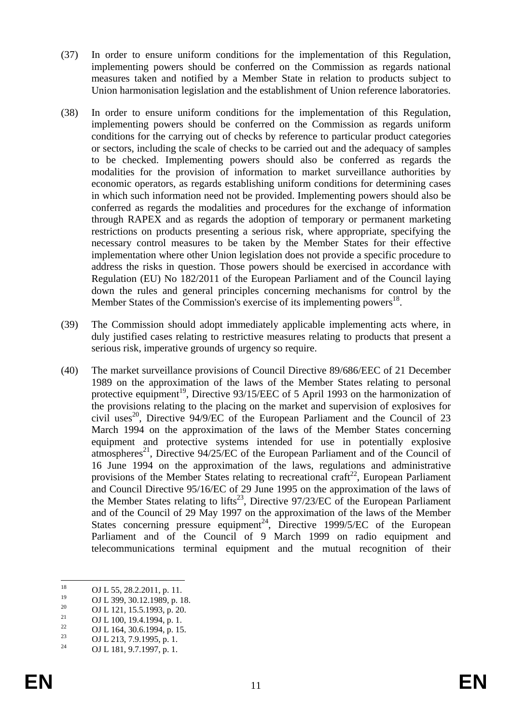- (37) In order to ensure uniform conditions for the implementation of this Regulation, implementing powers should be conferred on the Commission as regards national measures taken and notified by a Member State in relation to products subject to Union harmonisation legislation and the establishment of Union reference laboratories.
- (38) In order to ensure uniform conditions for the implementation of this Regulation, implementing powers should be conferred on the Commission as regards uniform conditions for the carrying out of checks by reference to particular product categories or sectors, including the scale of checks to be carried out and the adequacy of samples to be checked. Implementing powers should also be conferred as regards the modalities for the provision of information to market surveillance authorities by economic operators, as regards establishing uniform conditions for determining cases in which such information need not be provided. Implementing powers should also be conferred as regards the modalities and procedures for the exchange of information through RAPEX and as regards the adoption of temporary or permanent marketing restrictions on products presenting a serious risk, where appropriate, specifying the necessary control measures to be taken by the Member States for their effective implementation where other Union legislation does not provide a specific procedure to address the risks in question. Those powers should be exercised in accordance with Regulation (EU) No 182/2011 of the European Parliament and of the Council laying down the rules and general principles concerning mechanisms for control by the Member States of the Commission's exercise of its implementing powers<sup>18</sup>.
- (39) The Commission should adopt immediately applicable implementing acts where, in duly justified cases relating to restrictive measures relating to products that present a serious risk, imperative grounds of urgency so require.
- (40) The market surveillance provisions of Council Directive 89/686/EEC of 21 December 1989 on the approximation of the laws of the Member States relating to personal protective equipment<sup>19</sup>, Directive 93/15/EEC of 5 April 1993 on the harmonization of the provisions relating to the placing on the market and supervision of explosives for civil uses<sup>20</sup>, Directive 94/9/EC of the European Parliament and the Council of 23 March 1994 on the approximation of the laws of the Member States concerning equipment and protective systems intended for use in potentially explosive atmospheres<sup>21</sup>, Directive 94/25/EC of the European Parliament and of the Council of 16 June 1994 on the approximation of the laws, regulations and administrative provisions of the Member States relating to recreational craft<sup>22</sup>, European Parliament and Council Directive 95/16/EC of 29 June 1995 on the approximation of the laws of the Member States relating to lifts<sup>23</sup>, Directive  $97/23/EC$  of the European Parliament and of the Council of 29 May 1997 on the approximation of the laws of the Member States concerning pressure equipment<sup>24</sup>, Directive 1999/5/EC of the European Parliament and of the Council of 9 March 1999 on radio equipment and telecommunications terminal equipment and the mutual recognition of their

<sup>18</sup>  $^{18}$  OJ L 55, 28.2.2011, p. 11.

 $^{19}$  OJ L 399, 30.12.1989, p. 18.

<sup>&</sup>lt;sup>20</sup> OJ L 121, 15.5.1993, p. 20.

<sup>&</sup>lt;sup>21</sup> OJ L 100, 19.4.1994, p. 1.<br>
<sup>22</sup> OJ L 164, 20.6.1994, p. 1.

<sup>&</sup>lt;sup>22</sup> OJ L 164, 30.6.1994, p. 15.<br><sup>23</sup> OJ L 212, 7.0,1005  $\mu$ , 1

<sup>&</sup>lt;sup>23</sup> OJ L 213, 7.9.1995, p. 1.<br><sup>24</sup> OJ L 191, 2.7,1997

OJ L 181, 9.7.1997, p. 1.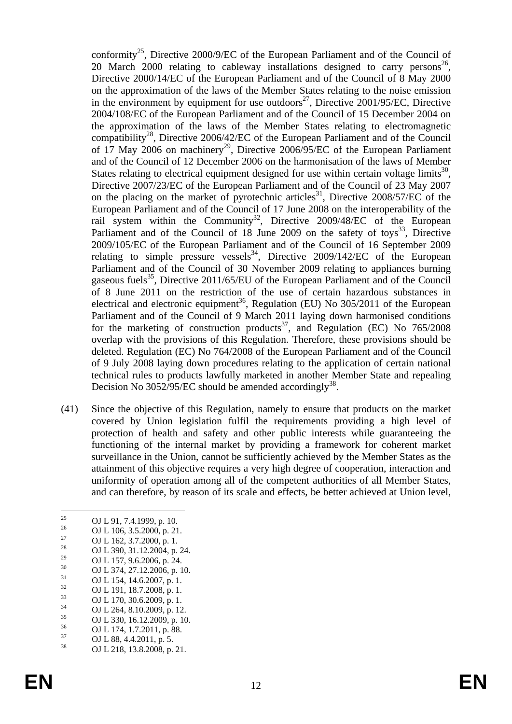conformity<sup>25</sup>, Directive 2000/9/EC of the European Parliament and of the Council of 20 March 2000 relating to cableway installations designed to carry persons<sup>26</sup>, Directive 2000/14/EC of the European Parliament and of the Council of 8 May 2000 on the approximation of the laws of the Member States relating to the noise emission in the environment by equipment for use outdoors<sup>27</sup>, Directive 2001/95/EC, Directive 2004/108/EC of the European Parliament and of the Council of 15 December 2004 on the approximation of the laws of the Member States relating to electromagnetic compatibility<sup>28</sup>, Directive 2006/42/EC of the European Parliament and of the Council of 17 May 2006 on machinery<sup>29</sup>, Directive 2006/95/EC of the European Parliament and of the Council of 12 December 2006 on the harmonisation of the laws of Member States relating to electrical equipment designed for use within certain voltage limits<sup>30</sup>. Directive 2007/23/EC of the European Parliament and of the Council of 23 May 2007 on the placing on the market of pyrotechnic articles<sup>31</sup>, Directive 2008/57/EC of the European Parliament and of the Council of 17 June 2008 on the interoperability of the rail system within the Community<sup>32</sup>, Directive  $2009/48/EC$  of the European Parliament and of the Council of 18 June 2009 on the safety of toys<sup>33</sup>, Directive 2009/105/EC of the European Parliament and of the Council of 16 September 2009 relating to simple pressure vessels<sup>34</sup>, Directive 2009/142/EC of the European Parliament and of the Council of 30 November 2009 relating to appliances burning gaseous fuels<sup>35</sup>, Directive 2011/65/EU of the European Parliament and of the Council of 8 June 2011 on the restriction of the use of certain hazardous substances in electrical and electronic equipment<sup>36</sup>, Regulation (EU) No  $305/2011$  of the European Parliament and of the Council of 9 March 2011 laying down harmonised conditions for the marketing of construction products<sup>37</sup>, and Regulation (EC) No  $765/2008$ overlap with the provisions of this Regulation. Therefore, these provisions should be deleted. Regulation (EC) No 764/2008 of the European Parliament and of the Council of 9 July 2008 laying down procedures relating to the application of certain national technical rules to products lawfully marketed in another Member State and repealing Decision No 3052/95/EC should be amended accordingly<sup>38</sup>.

(41) Since the objective of this Regulation, namely to ensure that products on the market covered by Union legislation fulfil the requirements providing a high level of protection of health and safety and other public interests while guaranteeing the functioning of the internal market by providing a framework for coherent market surveillance in the Union, cannot be sufficiently achieved by the Member States as the attainment of this objective requires a very high degree of cooperation, interaction and uniformity of operation among all of the competent authorities of all Member States, and can therefore, by reason of its scale and effects, be better achieved at Union level,

 $25$ <sup>25</sup> OJ L 91, 7.4.1999, p. 10.<br><sup>26</sup> OJ L 106, 2.5, 2000, p. 21.

 $^{26}$  OJ L 106, 3.5.2000, p. 21.<br>
OJ L 162, 3.7.2000, p. 1.

<sup>&</sup>lt;sup>27</sup> OJ L 162, 3.7.2000, p. 1.<br><sup>28</sup> OJ L 200, 21, 12, 200, 4

<sup>&</sup>lt;sup>28</sup> OJ L 390, 31.12.2004, p. 24.

<sup>&</sup>lt;sup>29</sup> OJ L 157, 9.6.2006, p. 24.<br>30 OJ L 374, 27, 12, 2006

 $^{30}$  OJ L 374, 27.12.2006, p. 10.

 $^{31}_{32}$  OJ L 154, 14.6.2007, p. 1.

 $^{32}$  OJ L 191, 18.7.2008, p. 1.

 $^{33}$  OJ L 170, 30.6.2009, p. 1.

 $^{34}$  OJ L 264, 8.10.2009, p. 12.<br> $^{35}$  OJ L 220, 16.12.2009, p. 10

 $\frac{35}{36}$  OJ L 330, 16.12.2009, p. 10.

 $^{36}$  OJ L 174, 1.7.2011, p. 88.

 $^{37}$  OJ L 88, 4.4.2011, p. 5.<br> $^{38}$  OJ L 219, 12, 9, 2009

<sup>38</sup> OJ L 218, 13.8.2008, p. 21.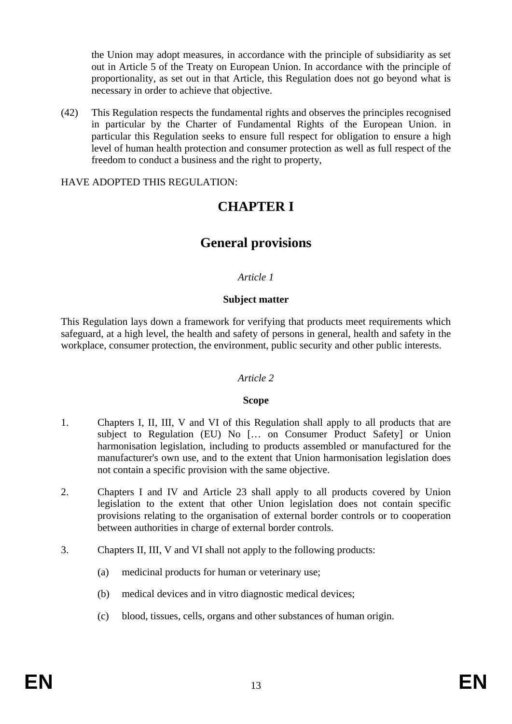the Union may adopt measures, in accordance with the principle of subsidiarity as set out in Article 5 of the Treaty on European Union. In accordance with the principle of proportionality, as set out in that Article, this Regulation does not go beyond what is necessary in order to achieve that objective.

(42) This Regulation respects the fundamental rights and observes the principles recognised in particular by the Charter of Fundamental Rights of the European Union. in particular this Regulation seeks to ensure full respect for obligation to ensure a high level of human health protection and consumer protection as well as full respect of the freedom to conduct a business and the right to property,

HAVE ADOPTED THIS REGULATION:

# **CHAPTER I**

## **General provisions**

### *Article 1*

### **Subject matter**

This Regulation lays down a framework for verifying that products meet requirements which safeguard, at a high level, the health and safety of persons in general, health and safety in the workplace, consumer protection, the environment, public security and other public interests.

#### *Article 2*

#### **Scope**

- 1. Chapters I, II, III, V and VI of this Regulation shall apply to all products that are subject to Regulation (EU) No [… on Consumer Product Safety] or Union harmonisation legislation, including to products assembled or manufactured for the manufacturer's own use, and to the extent that Union harmonisation legislation does not contain a specific provision with the same objective.
- 2. Chapters I and IV and Article 23 shall apply to all products covered by Union legislation to the extent that other Union legislation does not contain specific provisions relating to the organisation of external border controls or to cooperation between authorities in charge of external border controls.
- 3. Chapters II, III, V and VI shall not apply to the following products:
	- (a) medicinal products for human or veterinary use;
	- (b) medical devices and in vitro diagnostic medical devices;
	- (c) blood, tissues, cells, organs and other substances of human origin.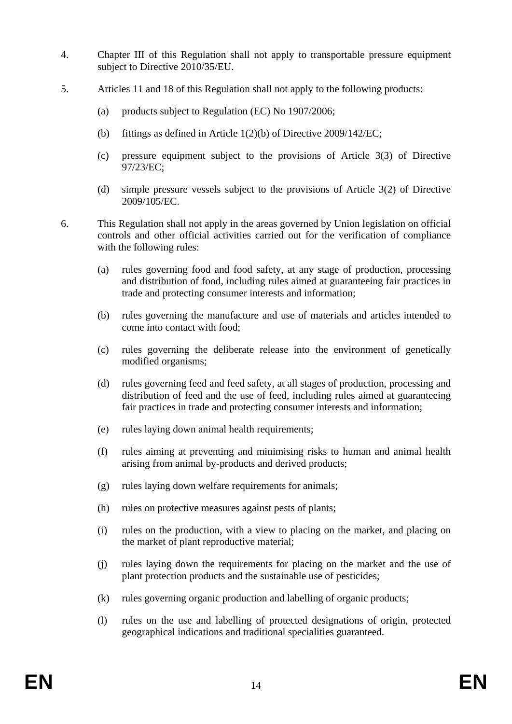- 4. Chapter III of this Regulation shall not apply to transportable pressure equipment subject to Directive 2010/35/EU.
- 5. Articles 11 and 18 of this Regulation shall not apply to the following products:
	- (a) products subject to Regulation (EC) No 1907/2006;
	- (b) fittings as defined in Article 1(2)(b) of Directive 2009/142/EC;
	- (c) pressure equipment subject to the provisions of Article 3(3) of Directive 97/23/EC;
	- (d) simple pressure vessels subject to the provisions of Article 3(2) of Directive 2009/105/EC.

6. This Regulation shall not apply in the areas governed by Union legislation on official controls and other official activities carried out for the verification of compliance with the following rules:

- (a) rules governing food and food safety, at any stage of production, processing and distribution of food, including rules aimed at guaranteeing fair practices in trade and protecting consumer interests and information;
- (b) rules governing the manufacture and use of materials and articles intended to come into contact with food;
- (c) rules governing the deliberate release into the environment of genetically modified organisms;
- (d) rules governing feed and feed safety, at all stages of production, processing and distribution of feed and the use of feed, including rules aimed at guaranteeing fair practices in trade and protecting consumer interests and information;
- (e) rules laying down animal health requirements;
- (f) rules aiming at preventing and minimising risks to human and animal health arising from animal by-products and derived products;
- (g) rules laying down welfare requirements for animals;
- (h) rules on protective measures against pests of plants;
- (i) rules on the production, with a view to placing on the market, and placing on the market of plant reproductive material;
- (j) rules laying down the requirements for placing on the market and the use of plant protection products and the sustainable use of pesticides;
- (k) rules governing organic production and labelling of organic products;
- (l) rules on the use and labelling of protected designations of origin, protected geographical indications and traditional specialities guaranteed.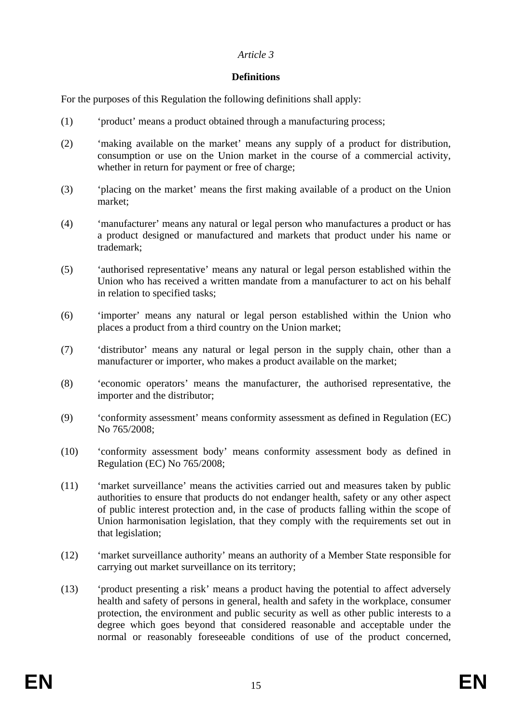## **Definitions**

For the purposes of this Regulation the following definitions shall apply:

- (1) 'product' means a product obtained through a manufacturing process;
- (2) 'making available on the market' means any supply of a product for distribution, consumption or use on the Union market in the course of a commercial activity, whether in return for payment or free of charge;
- (3) 'placing on the market' means the first making available of a product on the Union market;
- (4) 'manufacturer' means any natural or legal person who manufactures a product or has a product designed or manufactured and markets that product under his name or trademark;
- (5) 'authorised representative' means any natural or legal person established within the Union who has received a written mandate from a manufacturer to act on his behalf in relation to specified tasks;
- (6) 'importer' means any natural or legal person established within the Union who places a product from a third country on the Union market;
- (7) 'distributor' means any natural or legal person in the supply chain, other than a manufacturer or importer, who makes a product available on the market;
- (8) 'economic operators' means the manufacturer, the authorised representative, the importer and the distributor;
- (9) 'conformity assessment' means conformity assessment as defined in Regulation (EC) No 765/2008:
- (10) 'conformity assessment body' means conformity assessment body as defined in Regulation (EC) No 765/2008;
- (11) 'market surveillance' means the activities carried out and measures taken by public authorities to ensure that products do not endanger health, safety or any other aspect of public interest protection and, in the case of products falling within the scope of Union harmonisation legislation, that they comply with the requirements set out in that legislation;
- (12) 'market surveillance authority' means an authority of a Member State responsible for carrying out market surveillance on its territory;
- (13) 'product presenting a risk' means a product having the potential to affect adversely health and safety of persons in general, health and safety in the workplace, consumer protection, the environment and public security as well as other public interests to a degree which goes beyond that considered reasonable and acceptable under the normal or reasonably foreseeable conditions of use of the product concerned,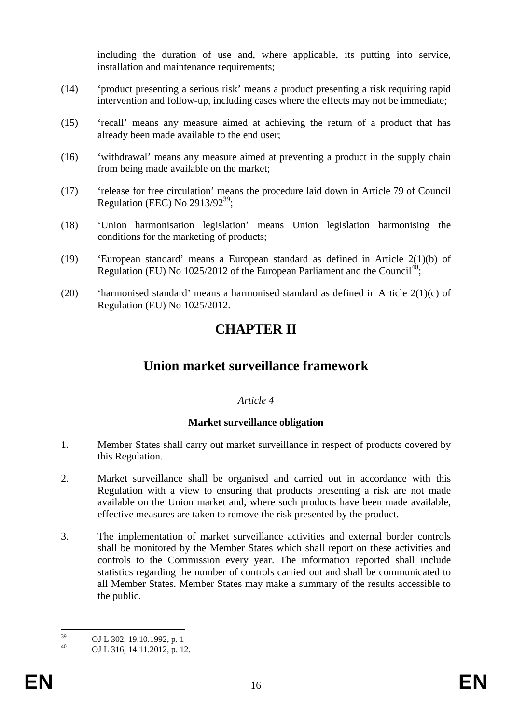including the duration of use and, where applicable, its putting into service, installation and maintenance requirements;

- (14) 'product presenting a serious risk' means a product presenting a risk requiring rapid intervention and follow-up, including cases where the effects may not be immediate;
- (15) 'recall' means any measure aimed at achieving the return of a product that has already been made available to the end user;
- (16) 'withdrawal' means any measure aimed at preventing a product in the supply chain from being made available on the market;
- (17) 'release for free circulation' means the procedure laid down in Article 79 of Council Regulation (EEC) No  $2913/92^{39}$ :
- (18) 'Union harmonisation legislation' means Union legislation harmonising the conditions for the marketing of products;
- (19) 'European standard' means a European standard as defined in Article 2(1)(b) of Regulation (EU) No  $1025/2012$  of the European Parliament and the Council<sup>40</sup>;
- (20) 'harmonised standard' means a harmonised standard as defined in Article 2(1)(c) of Regulation (EU) No 1025/2012.

# **CHAPTER II**

## **Union market surveillance framework**

#### *Article 4*

#### **Market surveillance obligation**

- 1. Member States shall carry out market surveillance in respect of products covered by this Regulation.
- 2. Market surveillance shall be organised and carried out in accordance with this Regulation with a view to ensuring that products presenting a risk are not made available on the Union market and, where such products have been made available, effective measures are taken to remove the risk presented by the product.
- 3. The implementation of market surveillance activities and external border controls shall be monitored by the Member States which shall report on these activities and controls to the Commission every year. The information reported shall include statistics regarding the number of controls carried out and shall be communicated to all Member States. Member States may make a summary of the results accessible to the public.

 $30^{\circ}$  $^{39}$  OJ L 302, 19.10.1992, p. 1<br> $^{40}$  OJ L 316, 14, 11, 2012, p. 12

<sup>40</sup> OJ L 316, 14.11.2012, p. 12.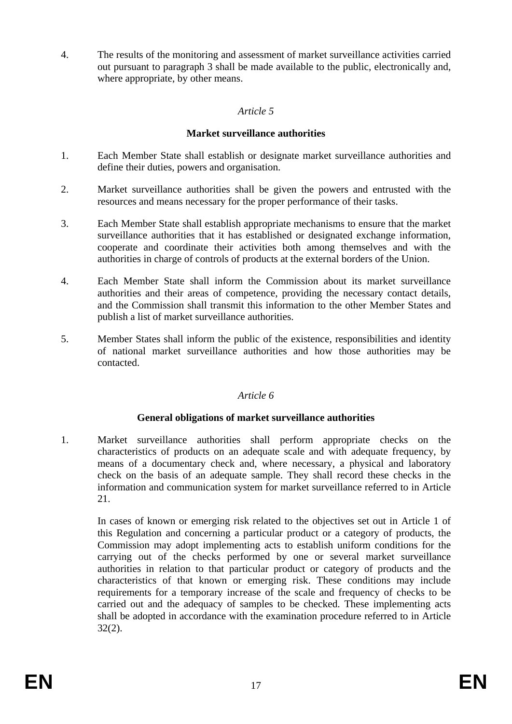4. The results of the monitoring and assessment of market surveillance activities carried out pursuant to paragraph 3 shall be made available to the public, electronically and, where appropriate, by other means.

## *Article 5*

### **Market surveillance authorities**

- 1. Each Member State shall establish or designate market surveillance authorities and define their duties, powers and organisation.
- 2. Market surveillance authorities shall be given the powers and entrusted with the resources and means necessary for the proper performance of their tasks.
- 3. Each Member State shall establish appropriate mechanisms to ensure that the market surveillance authorities that it has established or designated exchange information, cooperate and coordinate their activities both among themselves and with the authorities in charge of controls of products at the external borders of the Union.
- 4. Each Member State shall inform the Commission about its market surveillance authorities and their areas of competence, providing the necessary contact details, and the Commission shall transmit this information to the other Member States and publish a list of market surveillance authorities.
- 5. Member States shall inform the public of the existence, responsibilities and identity of national market surveillance authorities and how those authorities may be contacted.

#### *Article 6*

## **General obligations of market surveillance authorities**

1. Market surveillance authorities shall perform appropriate checks on the characteristics of products on an adequate scale and with adequate frequency, by means of a documentary check and, where necessary, a physical and laboratory check on the basis of an adequate sample. They shall record these checks in the information and communication system for market surveillance referred to in Article 21.

In cases of known or emerging risk related to the objectives set out in Article 1 of this Regulation and concerning a particular product or a category of products, the Commission may adopt implementing acts to establish uniform conditions for the carrying out of the checks performed by one or several market surveillance authorities in relation to that particular product or category of products and the characteristics of that known or emerging risk. These conditions may include requirements for a temporary increase of the scale and frequency of checks to be carried out and the adequacy of samples to be checked. These implementing acts shall be adopted in accordance with the examination procedure referred to in Article 32(2).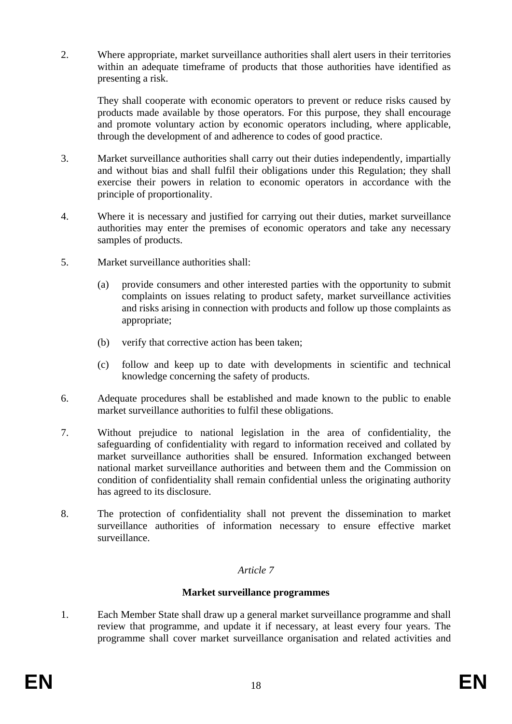2. Where appropriate, market surveillance authorities shall alert users in their territories within an adequate timeframe of products that those authorities have identified as presenting a risk.

They shall cooperate with economic operators to prevent or reduce risks caused by products made available by those operators. For this purpose, they shall encourage and promote voluntary action by economic operators including, where applicable, through the development of and adherence to codes of good practice.

- 3. Market surveillance authorities shall carry out their duties independently, impartially and without bias and shall fulfil their obligations under this Regulation; they shall exercise their powers in relation to economic operators in accordance with the principle of proportionality.
- 4. Where it is necessary and justified for carrying out their duties, market surveillance authorities may enter the premises of economic operators and take any necessary samples of products.
- 5. Market surveillance authorities shall:
	- (a) provide consumers and other interested parties with the opportunity to submit complaints on issues relating to product safety, market surveillance activities and risks arising in connection with products and follow up those complaints as appropriate;
	- (b) verify that corrective action has been taken;
	- (c) follow and keep up to date with developments in scientific and technical knowledge concerning the safety of products.
- 6. Adequate procedures shall be established and made known to the public to enable market surveillance authorities to fulfil these obligations.
- 7. Without prejudice to national legislation in the area of confidentiality, the safeguarding of confidentiality with regard to information received and collated by market surveillance authorities shall be ensured. Information exchanged between national market surveillance authorities and between them and the Commission on condition of confidentiality shall remain confidential unless the originating authority has agreed to its disclosure.
- 8. The protection of confidentiality shall not prevent the dissemination to market surveillance authorities of information necessary to ensure effective market surveillance.

## *Article 7*

#### **Market surveillance programmes**

1. Each Member State shall draw up a general market surveillance programme and shall review that programme, and update it if necessary, at least every four years. The programme shall cover market surveillance organisation and related activities and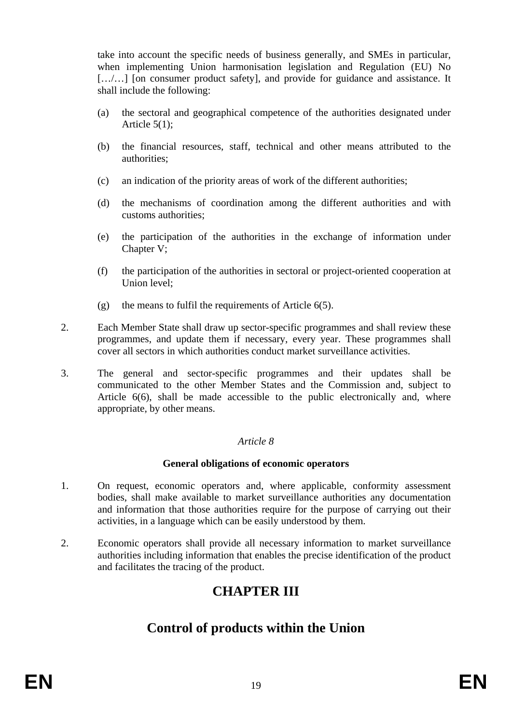take into account the specific needs of business generally, and SMEs in particular, when implementing Union harmonisation legislation and Regulation (EU) No [.../...] [on consumer product safety], and provide for guidance and assistance. It shall include the following:

- (a) the sectoral and geographical competence of the authorities designated under Article 5(1);
- (b) the financial resources, staff, technical and other means attributed to the authorities;
- (c) an indication of the priority areas of work of the different authorities;
- (d) the mechanisms of coordination among the different authorities and with customs authorities;
- (e) the participation of the authorities in the exchange of information under Chapter V;
- (f) the participation of the authorities in sectoral or project-oriented cooperation at Union level;
- (g) the means to fulfil the requirements of Article  $6(5)$ .
- 2. Each Member State shall draw up sector-specific programmes and shall review these programmes, and update them if necessary, every year. These programmes shall cover all sectors in which authorities conduct market surveillance activities.
- 3. The general and sector-specific programmes and their updates shall be communicated to the other Member States and the Commission and, subject to Article 6(6), shall be made accessible to the public electronically and, where appropriate, by other means.

## *Article 8*

## **General obligations of economic operators**

- 1. On request, economic operators and, where applicable, conformity assessment bodies, shall make available to market surveillance authorities any documentation and information that those authorities require for the purpose of carrying out their activities, in a language which can be easily understood by them.
- 2. Economic operators shall provide all necessary information to market surveillance authorities including information that enables the precise identification of the product and facilitates the tracing of the product.

# **CHAPTER III**

## **Control of products within the Union**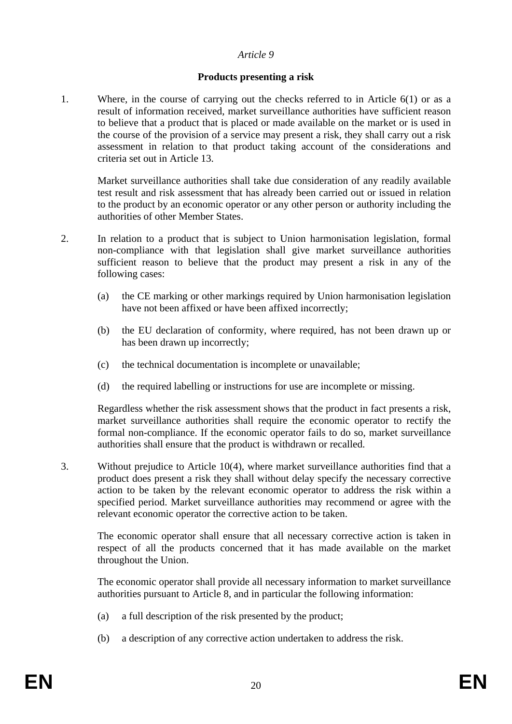## **Products presenting a risk**

1. Where, in the course of carrying out the checks referred to in Article 6(1) or as a result of information received, market surveillance authorities have sufficient reason to believe that a product that is placed or made available on the market or is used in the course of the provision of a service may present a risk, they shall carry out a risk assessment in relation to that product taking account of the considerations and criteria set out in Article 13.

Market surveillance authorities shall take due consideration of any readily available test result and risk assessment that has already been carried out or issued in relation to the product by an economic operator or any other person or authority including the authorities of other Member States.

- 2. In relation to a product that is subject to Union harmonisation legislation, formal non-compliance with that legislation shall give market surveillance authorities sufficient reason to believe that the product may present a risk in any of the following cases:
	- (a) the CE marking or other markings required by Union harmonisation legislation have not been affixed or have been affixed incorrectly;
	- (b) the EU declaration of conformity, where required, has not been drawn up or has been drawn up incorrectly;
	- (c) the technical documentation is incomplete or unavailable;
	- (d) the required labelling or instructions for use are incomplete or missing.

Regardless whether the risk assessment shows that the product in fact presents a risk, market surveillance authorities shall require the economic operator to rectify the formal non-compliance. If the economic operator fails to do so, market surveillance authorities shall ensure that the product is withdrawn or recalled.

3. Without prejudice to Article 10(4), where market surveillance authorities find that a product does present a risk they shall without delay specify the necessary corrective action to be taken by the relevant economic operator to address the risk within a specified period. Market surveillance authorities may recommend or agree with the relevant economic operator the corrective action to be taken.

The economic operator shall ensure that all necessary corrective action is taken in respect of all the products concerned that it has made available on the market throughout the Union.

The economic operator shall provide all necessary information to market surveillance authorities pursuant to Article 8, and in particular the following information:

- (a) a full description of the risk presented by the product;
- (b) a description of any corrective action undertaken to address the risk.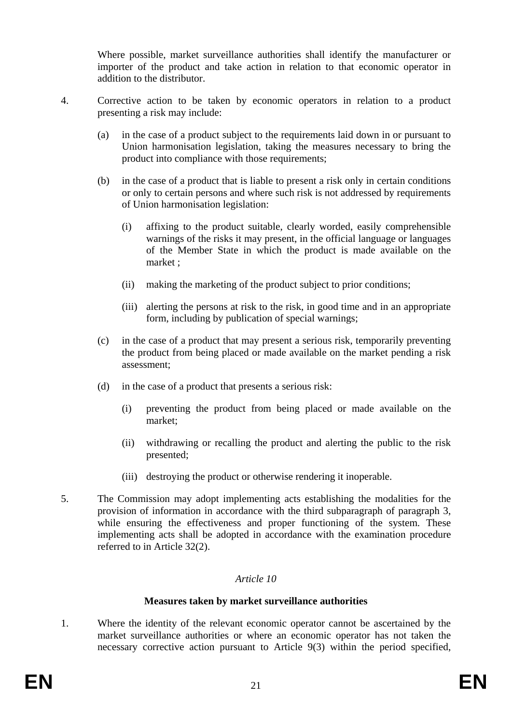Where possible, market surveillance authorities shall identify the manufacturer or importer of the product and take action in relation to that economic operator in addition to the distributor.

- 4. Corrective action to be taken by economic operators in relation to a product presenting a risk may include:
	- (a) in the case of a product subject to the requirements laid down in or pursuant to Union harmonisation legislation, taking the measures necessary to bring the product into compliance with those requirements;
	- (b) in the case of a product that is liable to present a risk only in certain conditions or only to certain persons and where such risk is not addressed by requirements of Union harmonisation legislation:
		- (i) affixing to the product suitable, clearly worded, easily comprehensible warnings of the risks it may present, in the official language or languages of the Member State in which the product is made available on the market ;
		- (ii) making the marketing of the product subject to prior conditions;
		- (iii) alerting the persons at risk to the risk, in good time and in an appropriate form, including by publication of special warnings;
	- (c) in the case of a product that may present a serious risk, temporarily preventing the product from being placed or made available on the market pending a risk assessment;
	- (d) in the case of a product that presents a serious risk:
		- (i) preventing the product from being placed or made available on the market;
		- (ii) withdrawing or recalling the product and alerting the public to the risk presented;
		- (iii) destroying the product or otherwise rendering it inoperable.
- 5. The Commission may adopt implementing acts establishing the modalities for the provision of information in accordance with the third subparagraph of paragraph 3, while ensuring the effectiveness and proper functioning of the system. These implementing acts shall be adopted in accordance with the examination procedure referred to in Article 32(2).

## *Article 10*

#### **Measures taken by market surveillance authorities**

1. Where the identity of the relevant economic operator cannot be ascertained by the market surveillance authorities or where an economic operator has not taken the necessary corrective action pursuant to Article 9(3) within the period specified,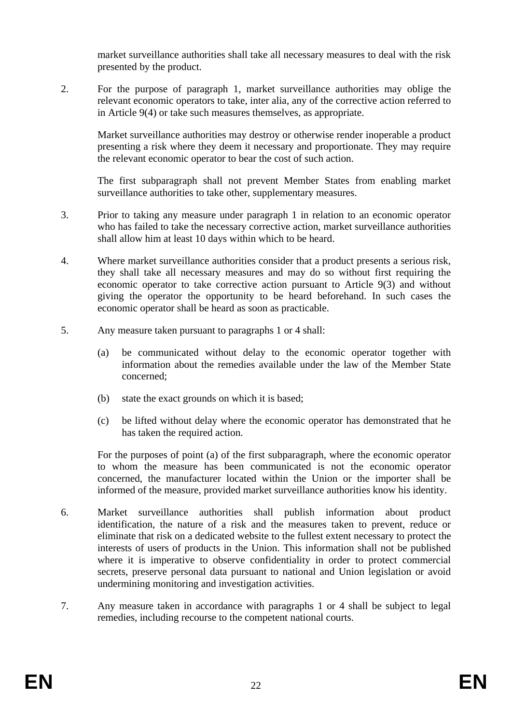market surveillance authorities shall take all necessary measures to deal with the risk presented by the product.

2. For the purpose of paragraph 1, market surveillance authorities may oblige the relevant economic operators to take, inter alia, any of the corrective action referred to in Article 9(4) or take such measures themselves, as appropriate.

Market surveillance authorities may destroy or otherwise render inoperable a product presenting a risk where they deem it necessary and proportionate. They may require the relevant economic operator to bear the cost of such action.

The first subparagraph shall not prevent Member States from enabling market surveillance authorities to take other, supplementary measures.

- 3. Prior to taking any measure under paragraph 1 in relation to an economic operator who has failed to take the necessary corrective action, market surveillance authorities shall allow him at least 10 days within which to be heard.
- 4. Where market surveillance authorities consider that a product presents a serious risk, they shall take all necessary measures and may do so without first requiring the economic operator to take corrective action pursuant to Article 9(3) and without giving the operator the opportunity to be heard beforehand. In such cases the economic operator shall be heard as soon as practicable.
- 5. Any measure taken pursuant to paragraphs 1 or 4 shall:
	- (a) be communicated without delay to the economic operator together with information about the remedies available under the law of the Member State concerned;
	- (b) state the exact grounds on which it is based;
	- (c) be lifted without delay where the economic operator has demonstrated that he has taken the required action.

For the purposes of point (a) of the first subparagraph, where the economic operator to whom the measure has been communicated is not the economic operator concerned, the manufacturer located within the Union or the importer shall be informed of the measure, provided market surveillance authorities know his identity.

- 6. Market surveillance authorities shall publish information about product identification, the nature of a risk and the measures taken to prevent, reduce or eliminate that risk on a dedicated website to the fullest extent necessary to protect the interests of users of products in the Union. This information shall not be published where it is imperative to observe confidentiality in order to protect commercial secrets, preserve personal data pursuant to national and Union legislation or avoid undermining monitoring and investigation activities.
- 7. Any measure taken in accordance with paragraphs 1 or 4 shall be subject to legal remedies, including recourse to the competent national courts.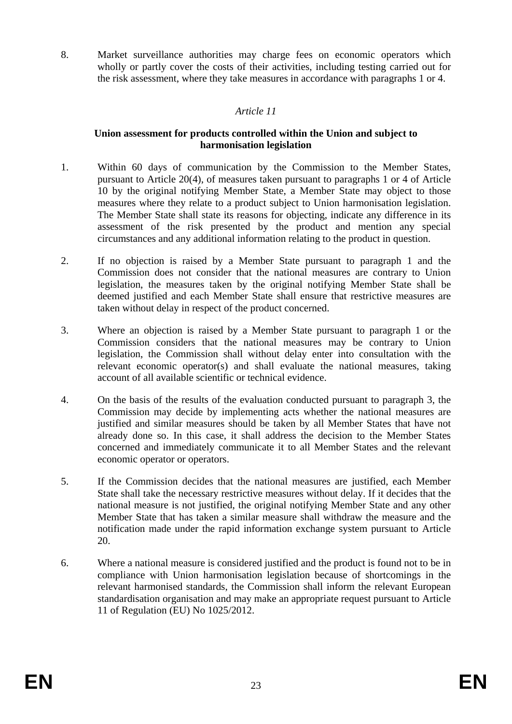8. Market surveillance authorities may charge fees on economic operators which wholly or partly cover the costs of their activities, including testing carried out for the risk assessment, where they take measures in accordance with paragraphs 1 or 4.

## *Article 11*

### **Union assessment for products controlled within the Union and subject to harmonisation legislation**

- 1. Within 60 days of communication by the Commission to the Member States, pursuant to Article 20(4), of measures taken pursuant to paragraphs 1 or 4 of Article 10 by the original notifying Member State, a Member State may object to those measures where they relate to a product subject to Union harmonisation legislation. The Member State shall state its reasons for objecting, indicate any difference in its assessment of the risk presented by the product and mention any special circumstances and any additional information relating to the product in question.
- 2. If no objection is raised by a Member State pursuant to paragraph 1 and the Commission does not consider that the national measures are contrary to Union legislation, the measures taken by the original notifying Member State shall be deemed justified and each Member State shall ensure that restrictive measures are taken without delay in respect of the product concerned.
- 3. Where an objection is raised by a Member State pursuant to paragraph 1 or the Commission considers that the national measures may be contrary to Union legislation, the Commission shall without delay enter into consultation with the relevant economic operator(s) and shall evaluate the national measures, taking account of all available scientific or technical evidence.
- 4. On the basis of the results of the evaluation conducted pursuant to paragraph 3, the Commission may decide by implementing acts whether the national measures are justified and similar measures should be taken by all Member States that have not already done so. In this case, it shall address the decision to the Member States concerned and immediately communicate it to all Member States and the relevant economic operator or operators.
- 5. If the Commission decides that the national measures are justified, each Member State shall take the necessary restrictive measures without delay. If it decides that the national measure is not justified, the original notifying Member State and any other Member State that has taken a similar measure shall withdraw the measure and the notification made under the rapid information exchange system pursuant to Article 20.
- 6. Where a national measure is considered justified and the product is found not to be in compliance with Union harmonisation legislation because of shortcomings in the relevant harmonised standards, the Commission shall inform the relevant European standardisation organisation and may make an appropriate request pursuant to Article 11 of Regulation (EU) No 1025/2012.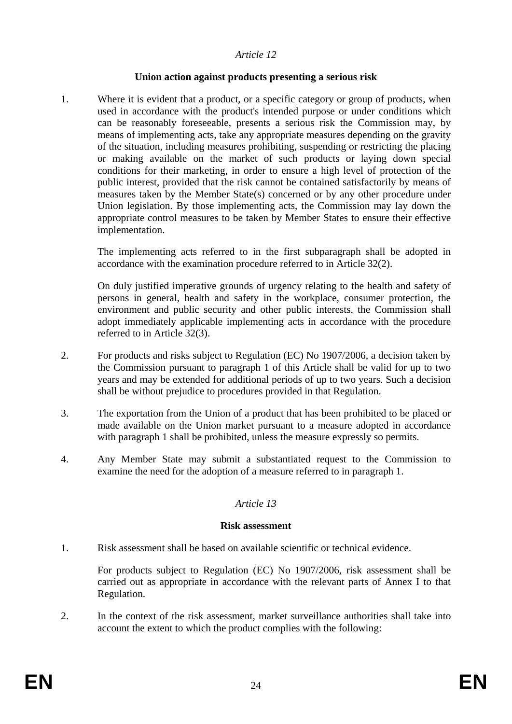#### **Union action against products presenting a serious risk**

1. Where it is evident that a product, or a specific category or group of products, when used in accordance with the product's intended purpose or under conditions which can be reasonably foreseeable, presents a serious risk the Commission may, by means of implementing acts, take any appropriate measures depending on the gravity of the situation, including measures prohibiting, suspending or restricting the placing or making available on the market of such products or laying down special conditions for their marketing, in order to ensure a high level of protection of the public interest, provided that the risk cannot be contained satisfactorily by means of measures taken by the Member State(s) concerned or by any other procedure under Union legislation. By those implementing acts, the Commission may lay down the appropriate control measures to be taken by Member States to ensure their effective implementation.

The implementing acts referred to in the first subparagraph shall be adopted in accordance with the examination procedure referred to in Article 32(2).

On duly justified imperative grounds of urgency relating to the health and safety of persons in general, health and safety in the workplace, consumer protection, the environment and public security and other public interests, the Commission shall adopt immediately applicable implementing acts in accordance with the procedure referred to in Article 32(3).

- 2. For products and risks subject to Regulation (EC) No 1907/2006, a decision taken by the Commission pursuant to paragraph 1 of this Article shall be valid for up to two years and may be extended for additional periods of up to two years. Such a decision shall be without prejudice to procedures provided in that Regulation.
- 3. The exportation from the Union of a product that has been prohibited to be placed or made available on the Union market pursuant to a measure adopted in accordance with paragraph 1 shall be prohibited, unless the measure expressly so permits.
- 4. Any Member State may submit a substantiated request to the Commission to examine the need for the adoption of a measure referred to in paragraph 1.

## *Article 13*

#### **Risk assessment**

1. Risk assessment shall be based on available scientific or technical evidence.

For products subject to Regulation (EC) No 1907/2006, risk assessment shall be carried out as appropriate in accordance with the relevant parts of Annex I to that Regulation.

2. In the context of the risk assessment, market surveillance authorities shall take into account the extent to which the product complies with the following: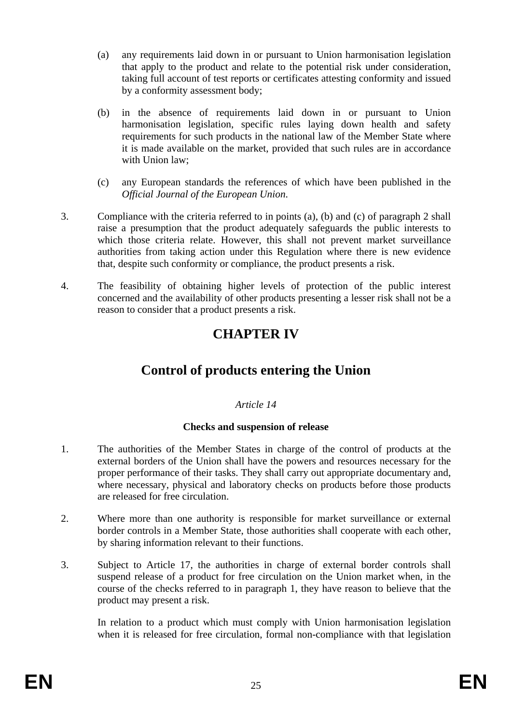- (a) any requirements laid down in or pursuant to Union harmonisation legislation that apply to the product and relate to the potential risk under consideration, taking full account of test reports or certificates attesting conformity and issued by a conformity assessment body;
- (b) in the absence of requirements laid down in or pursuant to Union harmonisation legislation, specific rules laying down health and safety requirements for such products in the national law of the Member State where it is made available on the market, provided that such rules are in accordance with Union law;
- (c) any European standards the references of which have been published in the *Official Journal of the European Union*.
- 3. Compliance with the criteria referred to in points (a), (b) and (c) of paragraph 2 shall raise a presumption that the product adequately safeguards the public interests to which those criteria relate. However, this shall not prevent market surveillance authorities from taking action under this Regulation where there is new evidence that, despite such conformity or compliance, the product presents a risk.
- 4. The feasibility of obtaining higher levels of protection of the public interest concerned and the availability of other products presenting a lesser risk shall not be a reason to consider that a product presents a risk.

# **CHAPTER IV**

# **Control of products entering the Union**

## *Article 14*

## **Checks and suspension of release**

- 1. The authorities of the Member States in charge of the control of products at the external borders of the Union shall have the powers and resources necessary for the proper performance of their tasks. They shall carry out appropriate documentary and, where necessary, physical and laboratory checks on products before those products are released for free circulation.
- 2. Where more than one authority is responsible for market surveillance or external border controls in a Member State, those authorities shall cooperate with each other, by sharing information relevant to their functions.
- 3. Subject to Article 17, the authorities in charge of external border controls shall suspend release of a product for free circulation on the Union market when, in the course of the checks referred to in paragraph 1, they have reason to believe that the product may present a risk.

In relation to a product which must comply with Union harmonisation legislation when it is released for free circulation, formal non-compliance with that legislation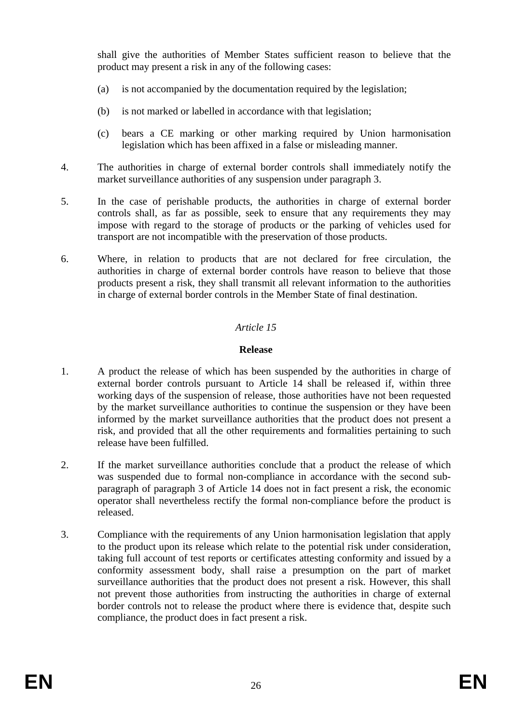shall give the authorities of Member States sufficient reason to believe that the product may present a risk in any of the following cases:

- (a) is not accompanied by the documentation required by the legislation;
- (b) is not marked or labelled in accordance with that legislation;
- (c) bears a CE marking or other marking required by Union harmonisation legislation which has been affixed in a false or misleading manner.
- 4. The authorities in charge of external border controls shall immediately notify the market surveillance authorities of any suspension under paragraph 3.
- 5. In the case of perishable products, the authorities in charge of external border controls shall, as far as possible, seek to ensure that any requirements they may impose with regard to the storage of products or the parking of vehicles used for transport are not incompatible with the preservation of those products.
- 6. Where, in relation to products that are not declared for free circulation, the authorities in charge of external border controls have reason to believe that those products present a risk, they shall transmit all relevant information to the authorities in charge of external border controls in the Member State of final destination.

## *Article 15*

#### **Release**

- 1. A product the release of which has been suspended by the authorities in charge of external border controls pursuant to Article 14 shall be released if, within three working days of the suspension of release, those authorities have not been requested by the market surveillance authorities to continue the suspension or they have been informed by the market surveillance authorities that the product does not present a risk, and provided that all the other requirements and formalities pertaining to such release have been fulfilled.
- 2. If the market surveillance authorities conclude that a product the release of which was suspended due to formal non-compliance in accordance with the second subparagraph of paragraph 3 of Article 14 does not in fact present a risk, the economic operator shall nevertheless rectify the formal non-compliance before the product is released.
- 3. Compliance with the requirements of any Union harmonisation legislation that apply to the product upon its release which relate to the potential risk under consideration, taking full account of test reports or certificates attesting conformity and issued by a conformity assessment body, shall raise a presumption on the part of market surveillance authorities that the product does not present a risk. However, this shall not prevent those authorities from instructing the authorities in charge of external border controls not to release the product where there is evidence that, despite such compliance, the product does in fact present a risk.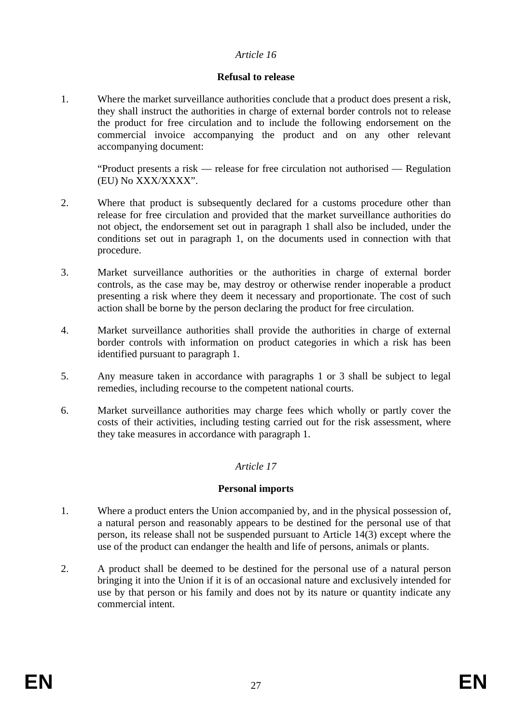#### **Refusal to release**

1. Where the market surveillance authorities conclude that a product does present a risk, they shall instruct the authorities in charge of external border controls not to release the product for free circulation and to include the following endorsement on the commercial invoice accompanying the product and on any other relevant accompanying document:

"Product presents a risk — release for free circulation not authorised — Regulation (EU) No XXX/XXXX".

- 2. Where that product is subsequently declared for a customs procedure other than release for free circulation and provided that the market surveillance authorities do not object, the endorsement set out in paragraph 1 shall also be included, under the conditions set out in paragraph 1, on the documents used in connection with that procedure.
- 3. Market surveillance authorities or the authorities in charge of external border controls, as the case may be, may destroy or otherwise render inoperable a product presenting a risk where they deem it necessary and proportionate. The cost of such action shall be borne by the person declaring the product for free circulation.
- 4. Market surveillance authorities shall provide the authorities in charge of external border controls with information on product categories in which a risk has been identified pursuant to paragraph 1.
- 5. Any measure taken in accordance with paragraphs 1 or 3 shall be subject to legal remedies, including recourse to the competent national courts.
- 6. Market surveillance authorities may charge fees which wholly or partly cover the costs of their activities, including testing carried out for the risk assessment, where they take measures in accordance with paragraph 1.

## *Article 17*

#### **Personal imports**

- 1. Where a product enters the Union accompanied by, and in the physical possession of, a natural person and reasonably appears to be destined for the personal use of that person, its release shall not be suspended pursuant to Article 14(3) except where the use of the product can endanger the health and life of persons, animals or plants.
- 2. A product shall be deemed to be destined for the personal use of a natural person bringing it into the Union if it is of an occasional nature and exclusively intended for use by that person or his family and does not by its nature or quantity indicate any commercial intent.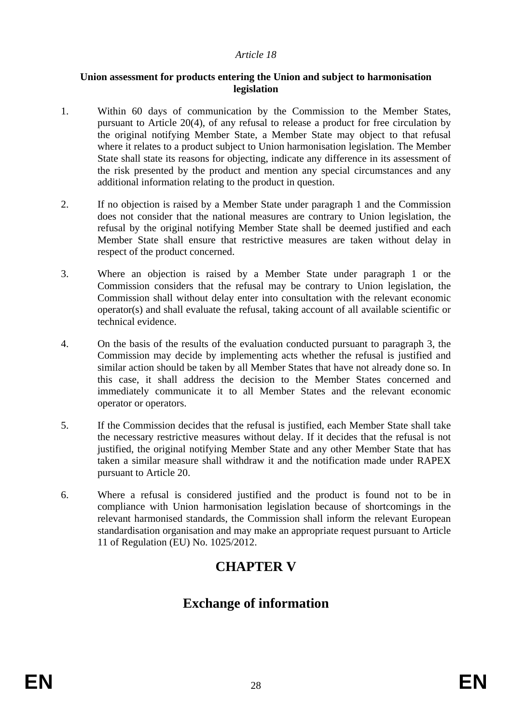#### **Union assessment for products entering the Union and subject to harmonisation legislation**

- 1. Within 60 days of communication by the Commission to the Member States, pursuant to Article 20(4), of any refusal to release a product for free circulation by the original notifying Member State, a Member State may object to that refusal where it relates to a product subject to Union harmonisation legislation. The Member State shall state its reasons for objecting, indicate any difference in its assessment of the risk presented by the product and mention any special circumstances and any additional information relating to the product in question.
- 2. If no objection is raised by a Member State under paragraph 1 and the Commission does not consider that the national measures are contrary to Union legislation, the refusal by the original notifying Member State shall be deemed justified and each Member State shall ensure that restrictive measures are taken without delay in respect of the product concerned.
- 3. Where an objection is raised by a Member State under paragraph 1 or the Commission considers that the refusal may be contrary to Union legislation, the Commission shall without delay enter into consultation with the relevant economic operator(s) and shall evaluate the refusal, taking account of all available scientific or technical evidence.
- 4. On the basis of the results of the evaluation conducted pursuant to paragraph 3, the Commission may decide by implementing acts whether the refusal is justified and similar action should be taken by all Member States that have not already done so. In this case, it shall address the decision to the Member States concerned and immediately communicate it to all Member States and the relevant economic operator or operators.
- 5. If the Commission decides that the refusal is justified, each Member State shall take the necessary restrictive measures without delay. If it decides that the refusal is not justified, the original notifying Member State and any other Member State that has taken a similar measure shall withdraw it and the notification made under RAPEX pursuant to Article 20.
- 6. Where a refusal is considered justified and the product is found not to be in compliance with Union harmonisation legislation because of shortcomings in the relevant harmonised standards, the Commission shall inform the relevant European standardisation organisation and may make an appropriate request pursuant to Article 11 of Regulation (EU) No. 1025/2012.

## **CHAPTER V**

# **Exchange of information**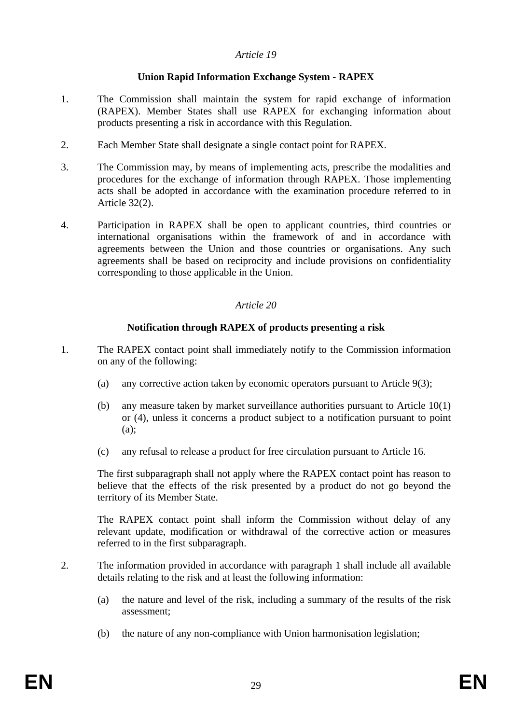## **Union Rapid Information Exchange System - RAPEX**

- 1. The Commission shall maintain the system for rapid exchange of information (RAPEX). Member States shall use RAPEX for exchanging information about products presenting a risk in accordance with this Regulation.
- 2. Each Member State shall designate a single contact point for RAPEX.
- 3. The Commission may, by means of implementing acts, prescribe the modalities and procedures for the exchange of information through RAPEX. Those implementing acts shall be adopted in accordance with the examination procedure referred to in Article 32(2).
- 4. Participation in RAPEX shall be open to applicant countries, third countries or international organisations within the framework of and in accordance with agreements between the Union and those countries or organisations. Any such agreements shall be based on reciprocity and include provisions on confidentiality corresponding to those applicable in the Union.

### *Article 20*

### **Notification through RAPEX of products presenting a risk**

- 1. The RAPEX contact point shall immediately notify to the Commission information on any of the following:
	- (a) any corrective action taken by economic operators pursuant to Article 9(3);
	- (b) any measure taken by market surveillance authorities pursuant to Article 10(1) or (4), unless it concerns a product subject to a notification pursuant to point  $(a)$ :
	- (c) any refusal to release a product for free circulation pursuant to Article 16.

The first subparagraph shall not apply where the RAPEX contact point has reason to believe that the effects of the risk presented by a product do not go beyond the territory of its Member State.

The RAPEX contact point shall inform the Commission without delay of any relevant update, modification or withdrawal of the corrective action or measures referred to in the first subparagraph.

- 2. The information provided in accordance with paragraph 1 shall include all available details relating to the risk and at least the following information:
	- (a) the nature and level of the risk, including a summary of the results of the risk assessment;
	- (b) the nature of any non-compliance with Union harmonisation legislation;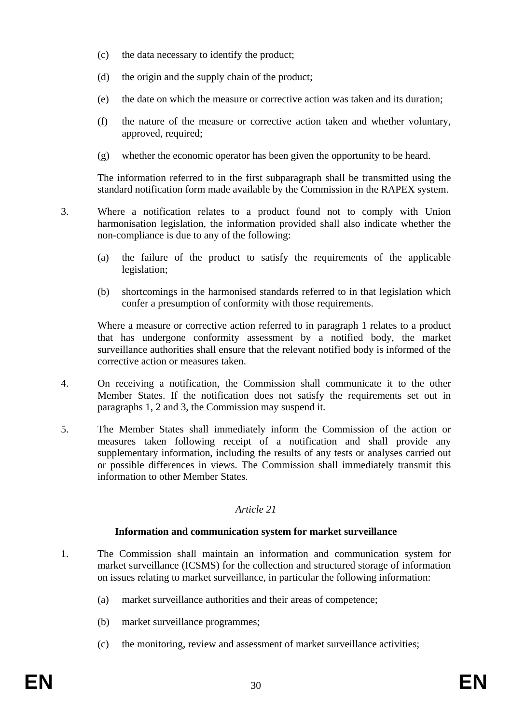- (c) the data necessary to identify the product;
- (d) the origin and the supply chain of the product;
- (e) the date on which the measure or corrective action was taken and its duration;
- (f) the nature of the measure or corrective action taken and whether voluntary, approved, required;
- (g) whether the economic operator has been given the opportunity to be heard.

The information referred to in the first subparagraph shall be transmitted using the standard notification form made available by the Commission in the RAPEX system.

- 3. Where a notification relates to a product found not to comply with Union harmonisation legislation, the information provided shall also indicate whether the non-compliance is due to any of the following:
	- (a) the failure of the product to satisfy the requirements of the applicable legislation;
	- (b) shortcomings in the harmonised standards referred to in that legislation which confer a presumption of conformity with those requirements.

Where a measure or corrective action referred to in paragraph 1 relates to a product that has undergone conformity assessment by a notified body, the market surveillance authorities shall ensure that the relevant notified body is informed of the corrective action or measures taken.

- 4. On receiving a notification, the Commission shall communicate it to the other Member States. If the notification does not satisfy the requirements set out in paragraphs 1, 2 and 3, the Commission may suspend it.
- 5. The Member States shall immediately inform the Commission of the action or measures taken following receipt of a notification and shall provide any supplementary information, including the results of any tests or analyses carried out or possible differences in views. The Commission shall immediately transmit this information to other Member States.

## *Article 21*

## **Information and communication system for market surveillance**

- 1. The Commission shall maintain an information and communication system for market surveillance (ICSMS) for the collection and structured storage of information on issues relating to market surveillance, in particular the following information:
	- (a) market surveillance authorities and their areas of competence;
	- (b) market surveillance programmes;
	- (c) the monitoring, review and assessment of market surveillance activities;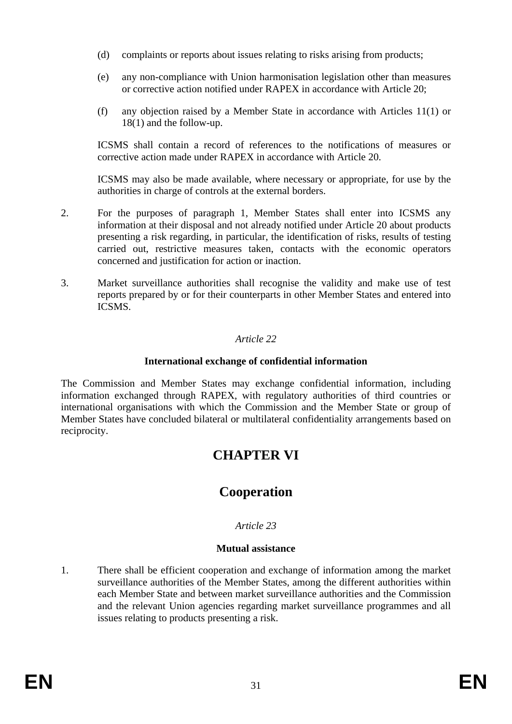- (d) complaints or reports about issues relating to risks arising from products;
- (e) any non-compliance with Union harmonisation legislation other than measures or corrective action notified under RAPEX in accordance with Article 20;
- (f) any objection raised by a Member State in accordance with Articles 11(1) or 18(1) and the follow-up.

ICSMS shall contain a record of references to the notifications of measures or corrective action made under RAPEX in accordance with Article 20.

ICSMS may also be made available, where necessary or appropriate, for use by the authorities in charge of controls at the external borders.

- 2. For the purposes of paragraph 1, Member States shall enter into ICSMS any information at their disposal and not already notified under Article 20 about products presenting a risk regarding, in particular, the identification of risks, results of testing carried out, restrictive measures taken, contacts with the economic operators concerned and justification for action or inaction.
- 3. Market surveillance authorities shall recognise the validity and make use of test reports prepared by or for their counterparts in other Member States and entered into ICSMS.

## *Article 22*

### **International exchange of confidential information**

The Commission and Member States may exchange confidential information, including information exchanged through RAPEX, with regulatory authorities of third countries or international organisations with which the Commission and the Member State or group of Member States have concluded bilateral or multilateral confidentiality arrangements based on reciprocity.

## **CHAPTER VI**

## **Cooperation**

## *Article 23*

#### **Mutual assistance**

1. There shall be efficient cooperation and exchange of information among the market surveillance authorities of the Member States, among the different authorities within each Member State and between market surveillance authorities and the Commission and the relevant Union agencies regarding market surveillance programmes and all issues relating to products presenting a risk.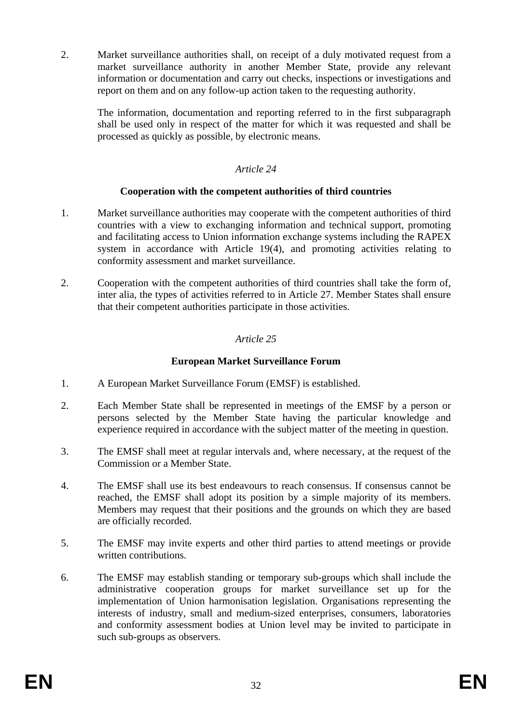2. Market surveillance authorities shall, on receipt of a duly motivated request from a market surveillance authority in another Member State, provide any relevant information or documentation and carry out checks, inspections or investigations and report on them and on any follow-up action taken to the requesting authority.

The information, documentation and reporting referred to in the first subparagraph shall be used only in respect of the matter for which it was requested and shall be processed as quickly as possible, by electronic means.

## *Article 24*

## **Cooperation with the competent authorities of third countries**

- 1. Market surveillance authorities may cooperate with the competent authorities of third countries with a view to exchanging information and technical support, promoting and facilitating access to Union information exchange systems including the RAPEX system in accordance with Article 19(4), and promoting activities relating to conformity assessment and market surveillance.
- 2. Cooperation with the competent authorities of third countries shall take the form of, inter alia, the types of activities referred to in Article 27. Member States shall ensure that their competent authorities participate in those activities.

## *Article 25*

## **European Market Surveillance Forum**

- 1. A European Market Surveillance Forum (EMSF) is established.
- 2. Each Member State shall be represented in meetings of the EMSF by a person or persons selected by the Member State having the particular knowledge and experience required in accordance with the subject matter of the meeting in question.
- 3. The EMSF shall meet at regular intervals and, where necessary, at the request of the Commission or a Member State.
- 4. The EMSF shall use its best endeavours to reach consensus. If consensus cannot be reached, the EMSF shall adopt its position by a simple majority of its members. Members may request that their positions and the grounds on which they are based are officially recorded.
- 5. The EMSF may invite experts and other third parties to attend meetings or provide written contributions.
- 6. The EMSF may establish standing or temporary sub-groups which shall include the administrative cooperation groups for market surveillance set up for the implementation of Union harmonisation legislation. Organisations representing the interests of industry, small and medium-sized enterprises, consumers, laboratories and conformity assessment bodies at Union level may be invited to participate in such sub-groups as observers.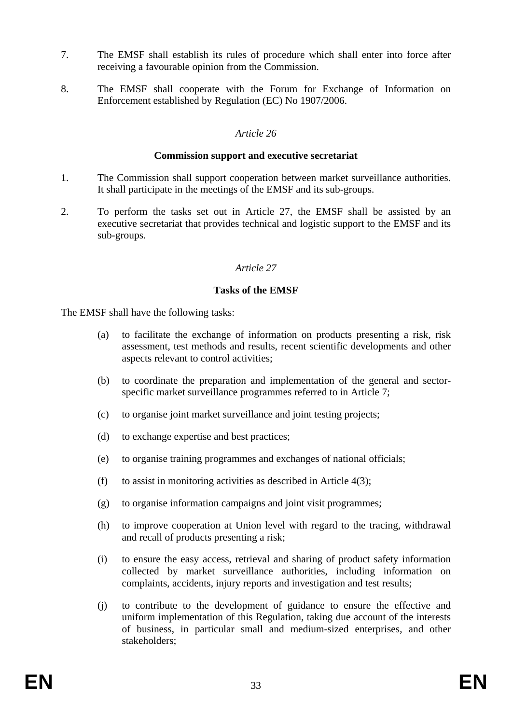- 7. The EMSF shall establish its rules of procedure which shall enter into force after receiving a favourable opinion from the Commission.
- 8. The EMSF shall cooperate with the Forum for Exchange of Information on Enforcement established by Regulation (EC) No 1907/2006.

#### **Commission support and executive secretariat**

- 1. The Commission shall support cooperation between market surveillance authorities. It shall participate in the meetings of the EMSF and its sub-groups.
- 2. To perform the tasks set out in Article 27, the EMSF shall be assisted by an executive secretariat that provides technical and logistic support to the EMSF and its sub-groups.

#### *Article 27*

#### **Tasks of the EMSF**

The EMSF shall have the following tasks:

- (a) to facilitate the exchange of information on products presenting a risk, risk assessment, test methods and results, recent scientific developments and other aspects relevant to control activities;
- (b) to coordinate the preparation and implementation of the general and sectorspecific market surveillance programmes referred to in Article 7;
- (c) to organise joint market surveillance and joint testing projects;
- (d) to exchange expertise and best practices;
- (e) to organise training programmes and exchanges of national officials;
- (f) to assist in monitoring activities as described in Article  $4(3)$ ;
- (g) to organise information campaigns and joint visit programmes;
- (h) to improve cooperation at Union level with regard to the tracing, withdrawal and recall of products presenting a risk;
- (i) to ensure the easy access, retrieval and sharing of product safety information collected by market surveillance authorities, including information on complaints, accidents, injury reports and investigation and test results;
- (j) to contribute to the development of guidance to ensure the effective and uniform implementation of this Regulation, taking due account of the interests of business, in particular small and medium-sized enterprises, and other stakeholders;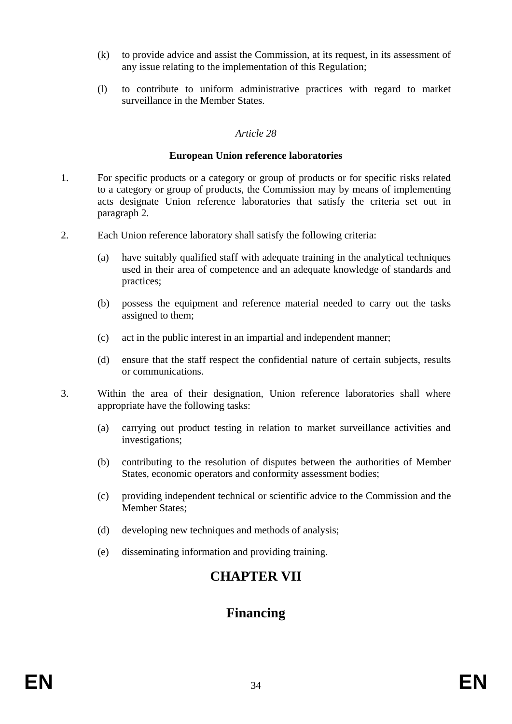- (k) to provide advice and assist the Commission, at its request, in its assessment of any issue relating to the implementation of this Regulation;
- (l) to contribute to uniform administrative practices with regard to market surveillance in the Member States.

#### **European Union reference laboratories**

- 1. For specific products or a category or group of products or for specific risks related to a category or group of products, the Commission may by means of implementing acts designate Union reference laboratories that satisfy the criteria set out in paragraph 2.
- 2. Each Union reference laboratory shall satisfy the following criteria:
	- (a) have suitably qualified staff with adequate training in the analytical techniques used in their area of competence and an adequate knowledge of standards and practices;
	- (b) possess the equipment and reference material needed to carry out the tasks assigned to them;
	- (c) act in the public interest in an impartial and independent manner;
	- (d) ensure that the staff respect the confidential nature of certain subjects, results or communications.
- 3. Within the area of their designation, Union reference laboratories shall where appropriate have the following tasks:
	- (a) carrying out product testing in relation to market surveillance activities and investigations;
	- (b) contributing to the resolution of disputes between the authorities of Member States, economic operators and conformity assessment bodies;
	- (c) providing independent technical or scientific advice to the Commission and the Member States;
	- (d) developing new techniques and methods of analysis;
	- (e) disseminating information and providing training.

# **CHAPTER VII**

# **Financing**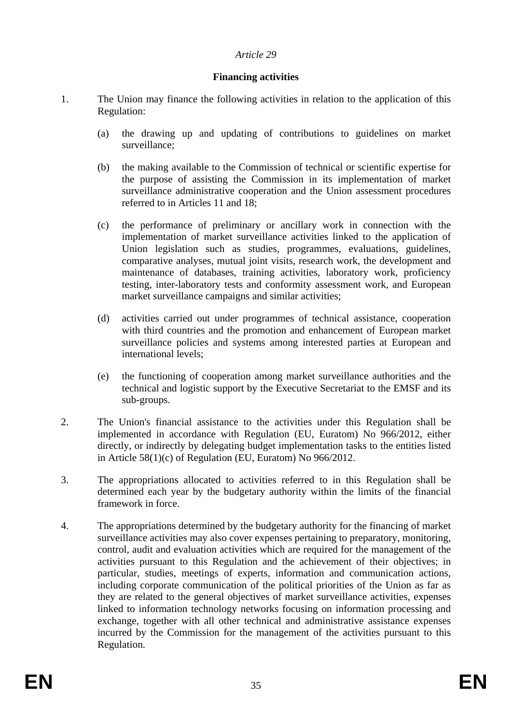### **Financing activities**

- 1. The Union may finance the following activities in relation to the application of this Regulation:
	- (a) the drawing up and updating of contributions to guidelines on market surveillance;
	- (b) the making available to the Commission of technical or scientific expertise for the purpose of assisting the Commission in its implementation of market surveillance administrative cooperation and the Union assessment procedures referred to in Articles 11 and 18;
	- (c) the performance of preliminary or ancillary work in connection with the implementation of market surveillance activities linked to the application of Union legislation such as studies, programmes, evaluations, guidelines, comparative analyses, mutual joint visits, research work, the development and maintenance of databases, training activities, laboratory work, proficiency testing, inter-laboratory tests and conformity assessment work, and European market surveillance campaigns and similar activities;
	- (d) activities carried out under programmes of technical assistance, cooperation with third countries and the promotion and enhancement of European market surveillance policies and systems among interested parties at European and international levels;
	- (e) the functioning of cooperation among market surveillance authorities and the technical and logistic support by the Executive Secretariat to the EMSF and its sub-groups.
- 2. The Union's financial assistance to the activities under this Regulation shall be implemented in accordance with Regulation (EU, Euratom) No 966/2012, either directly, or indirectly by delegating budget implementation tasks to the entities listed in Article 58(1)(c) of Regulation (EU, Euratom) No 966/2012.
- 3. The appropriations allocated to activities referred to in this Regulation shall be determined each year by the budgetary authority within the limits of the financial framework in force.
- 4. The appropriations determined by the budgetary authority for the financing of market surveillance activities may also cover expenses pertaining to preparatory, monitoring, control, audit and evaluation activities which are required for the management of the activities pursuant to this Regulation and the achievement of their objectives; in particular, studies, meetings of experts, information and communication actions, including corporate communication of the political priorities of the Union as far as they are related to the general objectives of market surveillance activities, expenses linked to information technology networks focusing on information processing and exchange, together with all other technical and administrative assistance expenses incurred by the Commission for the management of the activities pursuant to this Regulation.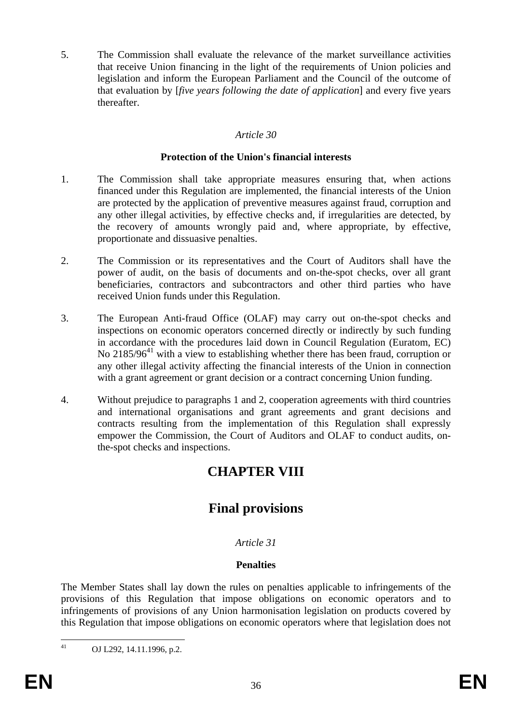5. The Commission shall evaluate the relevance of the market surveillance activities that receive Union financing in the light of the requirements of Union policies and legislation and inform the European Parliament and the Council of the outcome of that evaluation by [*five years following the date of application*] and every five years thereafter.

## *Article 30*

### **Protection of the Union's financial interests**

- 1. The Commission shall take appropriate measures ensuring that, when actions financed under this Regulation are implemented, the financial interests of the Union are protected by the application of preventive measures against fraud, corruption and any other illegal activities, by effective checks and, if irregularities are detected, by the recovery of amounts wrongly paid and, where appropriate, by effective, proportionate and dissuasive penalties.
- 2. The Commission or its representatives and the Court of Auditors shall have the power of audit, on the basis of documents and on-the-spot checks, over all grant beneficiaries, contractors and subcontractors and other third parties who have received Union funds under this Regulation.
- 3. The European Anti-fraud Office (OLAF) may carry out on-the-spot checks and inspections on economic operators concerned directly or indirectly by such funding in accordance with the procedures laid down in Council Regulation (Euratom, EC) No  $2185/96<sup>41</sup>$  with a view to establishing whether there has been fraud, corruption or any other illegal activity affecting the financial interests of the Union in connection with a grant agreement or grant decision or a contract concerning Union funding.
- 4. Without prejudice to paragraphs 1 and 2, cooperation agreements with third countries and international organisations and grant agreements and grant decisions and contracts resulting from the implementation of this Regulation shall expressly empower the Commission, the Court of Auditors and OLAF to conduct audits, onthe-spot checks and inspections.

# **CHAPTER VIII**

# **Final provisions**

## *Article 31*

## **Penalties**

The Member States shall lay down the rules on penalties applicable to infringements of the provisions of this Regulation that impose obligations on economic operators and to infringements of provisions of any Union harmonisation legislation on products covered by this Regulation that impose obligations on economic operators where that legislation does not

 $41$ OJ L292, 14.11.1996, p.2.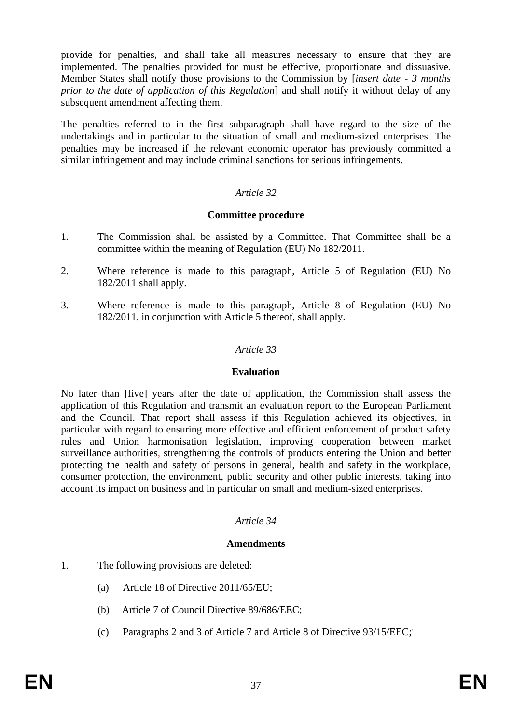provide for penalties, and shall take all measures necessary to ensure that they are implemented. The penalties provided for must be effective, proportionate and dissuasive. Member States shall notify those provisions to the Commission by [*insert date - 3 months prior to the date of application of this Regulation*] and shall notify it without delay of any subsequent amendment affecting them.

The penalties referred to in the first subparagraph shall have regard to the size of the undertakings and in particular to the situation of small and medium-sized enterprises. The penalties may be increased if the relevant economic operator has previously committed a similar infringement and may include criminal sanctions for serious infringements.

### *Article 32*

#### **Committee procedure**

- 1. The Commission shall be assisted by a Committee. That Committee shall be a committee within the meaning of Regulation (EU) No 182/2011.
- 2. Where reference is made to this paragraph, Article 5 of Regulation (EU) No 182/2011 shall apply.
- 3. Where reference is made to this paragraph, Article 8 of Regulation (EU) No 182/2011, in conjunction with Article 5 thereof, shall apply.

#### *Article 33*

#### **Evaluation**

No later than [five] years after the date of application, the Commission shall assess the application of this Regulation and transmit an evaluation report to the European Parliament and the Council. That report shall assess if this Regulation achieved its objectives, in particular with regard to ensuring more effective and efficient enforcement of product safety rules and Union harmonisation legislation, improving cooperation between market surveillance authorities, strengthening the controls of products entering the Union and better protecting the health and safety of persons in general, health and safety in the workplace, consumer protection, the environment, public security and other public interests, taking into account its impact on business and in particular on small and medium-sized enterprises.

#### *Article 34*

#### **Amendments**

- 1. The following provisions are deleted:
	- (a) Article 18 of Directive 2011/65/EU;
	- (b) Article 7 of Council Directive 89/686/EEC;
	- (c) Paragraphs 2 and 3 of Article 7 and Article 8 of Directive 93/15/EEC;.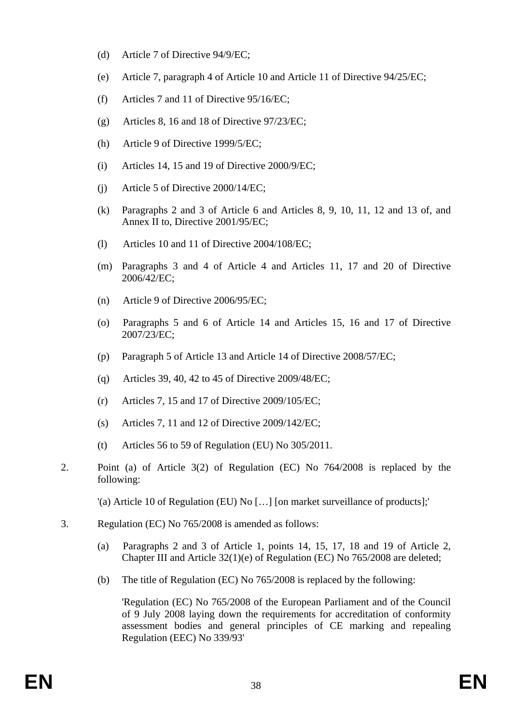- (d) Article 7 of Directive 94/9/EC;
- (e) Article 7, paragraph 4 of Article 10 and Article 11 of Directive 94/25/EC;
- (f) Articles 7 and 11 of Directive 95/16/EC;
- (g) Articles 8, 16 and 18 of Directive 97/23/EC;
- (h) Article 9 of Directive 1999/5/EC;
- (i) Articles 14, 15 and 19 of Directive 2000/9/EC;
- (j) Article 5 of Directive 2000/14/EC;
- (k) Paragraphs 2 and 3 of Article 6 and Articles 8, 9, 10, 11, 12 and 13 of, and Annex II to, Directive 2001/95/EC;
- (l) Articles 10 and 11 of Directive 2004/108/EC;
- (m) Paragraphs 3 and 4 of Article 4 and Articles 11, 17 and 20 of Directive 2006/42/EC;
- (n) Article 9 of Directive 2006/95/EC;
- (o) Paragraphs 5 and 6 of Article 14 and Articles 15, 16 and 17 of Directive 2007/23/EC;
- (p) Paragraph 5 of Article 13 and Article 14 of Directive 2008/57/EC;
- (q) Articles 39, 40, 42 to 45 of Directive 2009/48/EC;
- (r) Articles 7, 15 and 17 of Directive 2009/105/EC;
- (s) Articles 7, 11 and 12 of Directive 2009/142/EC;
- (t) Articles 56 to 59 of Regulation (EU) No 305/2011.
- 2. Point (a) of Article 3(2) of Regulation (EC) No 764/2008 is replaced by the following:

'(a) Article 10 of Regulation (EU) No […] [on market surveillance of products];'

- 3. Regulation (EC) No 765/2008 is amended as follows:
	- (a) Paragraphs 2 and 3 of Article 1, points 14, 15, 17, 18 and 19 of Article 2, Chapter III and Article 32(1)(e) of Regulation (EC) No 765/2008 are deleted;
	- (b) The title of Regulation (EC) No 765/2008 is replaced by the following:

'Regulation (EC) No 765/2008 of the European Parliament and of the Council of 9 July 2008 laying down the requirements for accreditation of conformity assessment bodies and general principles of CE marking and repealing Regulation (EEC) No 339/93'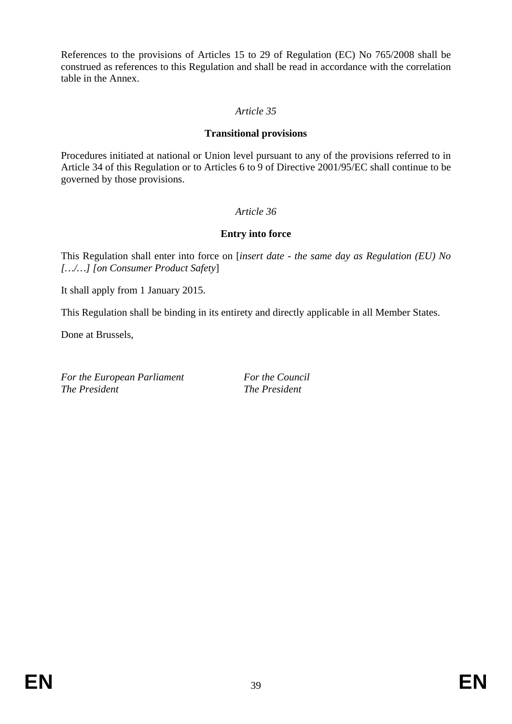References to the provisions of Articles 15 to 29 of Regulation (EC) No 765/2008 shall be construed as references to this Regulation and shall be read in accordance with the correlation table in the Annex.

## *Article 35*

## **Transitional provisions**

Procedures initiated at national or Union level pursuant to any of the provisions referred to in Article 34 of this Regulation or to Articles 6 to 9 of Directive 2001/95/EC shall continue to be governed by those provisions.

## *Article 36*

## **Entry into force**

This Regulation shall enter into force on [*insert date - the same day as Regulation (EU) No […/…] [on Consumer Product Safety*]

It shall apply from 1 January 2015.

This Regulation shall be binding in its entirety and directly applicable in all Member States.

Done at Brussels,

For the European Parliament **For the Council** For the Council *The President The President*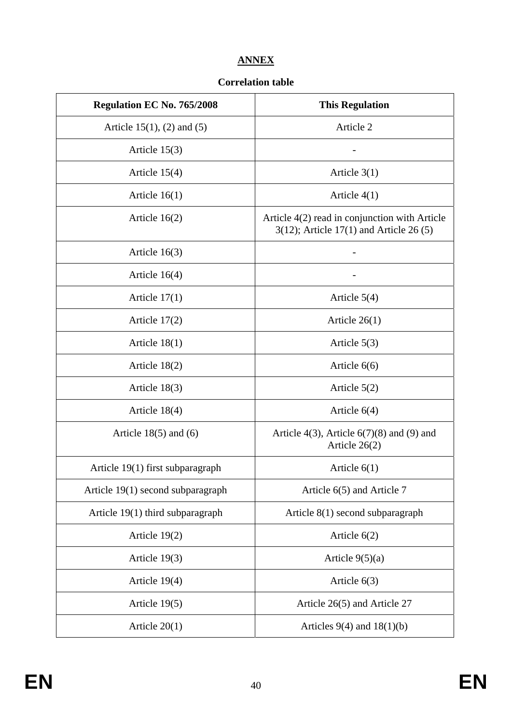## **ANNEX**

## **Correlation table**

| <b>Regulation EC No. 765/2008</b> | <b>This Regulation</b>                                                                     |  |  |  |  |  |
|-----------------------------------|--------------------------------------------------------------------------------------------|--|--|--|--|--|
| Article $15(1)$ , (2) and (5)     | Article 2                                                                                  |  |  |  |  |  |
| Article $15(3)$                   |                                                                                            |  |  |  |  |  |
| Article $15(4)$                   | Article $3(1)$                                                                             |  |  |  |  |  |
| Article $16(1)$                   | Article $4(1)$                                                                             |  |  |  |  |  |
| Article $16(2)$                   | Article 4(2) read in conjunction with Article<br>$3(12)$ ; Article 17(1) and Article 26(5) |  |  |  |  |  |
| Article $16(3)$                   |                                                                                            |  |  |  |  |  |
| Article $16(4)$                   |                                                                                            |  |  |  |  |  |
| Article $17(1)$                   | Article $5(4)$                                                                             |  |  |  |  |  |
| Article $17(2)$                   | Article $26(1)$                                                                            |  |  |  |  |  |
| Article $18(1)$                   | Article $5(3)$                                                                             |  |  |  |  |  |
| Article $18(2)$                   | Article $6(6)$                                                                             |  |  |  |  |  |
| Article $18(3)$                   | Article $5(2)$                                                                             |  |  |  |  |  |
| Article $18(4)$                   | Article $6(4)$                                                                             |  |  |  |  |  |
| Article $18(5)$ and $(6)$         | Article $4(3)$ , Article $6(7)(8)$ and (9) and<br>Article 26(2)                            |  |  |  |  |  |
| Article 19(1) first subparagraph  | Article $6(1)$                                                                             |  |  |  |  |  |
| Article 19(1) second subparagraph | Article 6(5) and Article 7                                                                 |  |  |  |  |  |
| Article 19(1) third subparagraph  | Article $8(1)$ second subparagraph                                                         |  |  |  |  |  |
| Article $19(2)$                   | Article $6(2)$                                                                             |  |  |  |  |  |
| Article $19(3)$                   | Article $9(5)(a)$                                                                          |  |  |  |  |  |
| Article 19(4)                     | Article $6(3)$                                                                             |  |  |  |  |  |
| Article 19(5)                     | Article 26(5) and Article 27                                                               |  |  |  |  |  |
| Article $20(1)$                   | Articles $9(4)$ and $18(1)(b)$                                                             |  |  |  |  |  |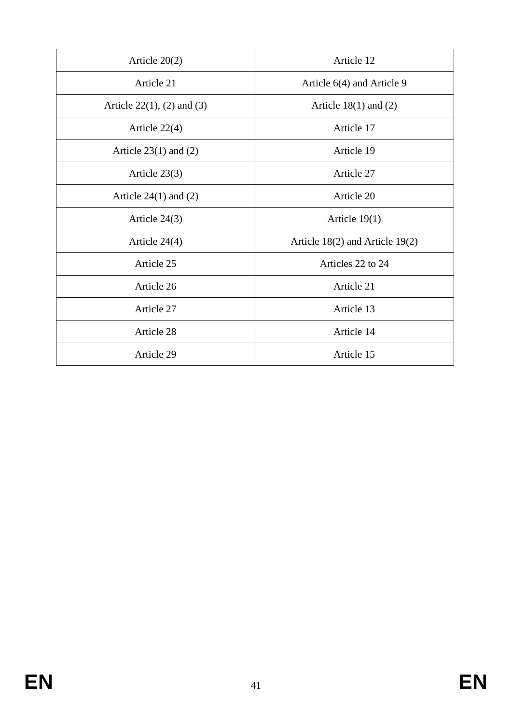| Article $20(2)$                   | Article 12                          |  |  |  |  |  |
|-----------------------------------|-------------------------------------|--|--|--|--|--|
| Article 21                        | Article 6(4) and Article 9          |  |  |  |  |  |
| Article $22(1)$ , $(2)$ and $(3)$ | Article $18(1)$ and $(2)$           |  |  |  |  |  |
| Article $22(4)$                   | Article 17                          |  |  |  |  |  |
| Article $23(1)$ and $(2)$         | Article 19                          |  |  |  |  |  |
| Article $23(3)$                   | Article 27                          |  |  |  |  |  |
| Article $24(1)$ and $(2)$         | Article 20                          |  |  |  |  |  |
| Article $24(3)$                   | Article $19(1)$                     |  |  |  |  |  |
| Article $24(4)$                   | Article $18(2)$ and Article $19(2)$ |  |  |  |  |  |
| Article 25                        | Articles 22 to 24                   |  |  |  |  |  |
| Article 26                        | Article 21                          |  |  |  |  |  |
| Article 27                        | Article 13                          |  |  |  |  |  |
| Article 28                        | Article 14                          |  |  |  |  |  |
| Article 29                        | Article 15                          |  |  |  |  |  |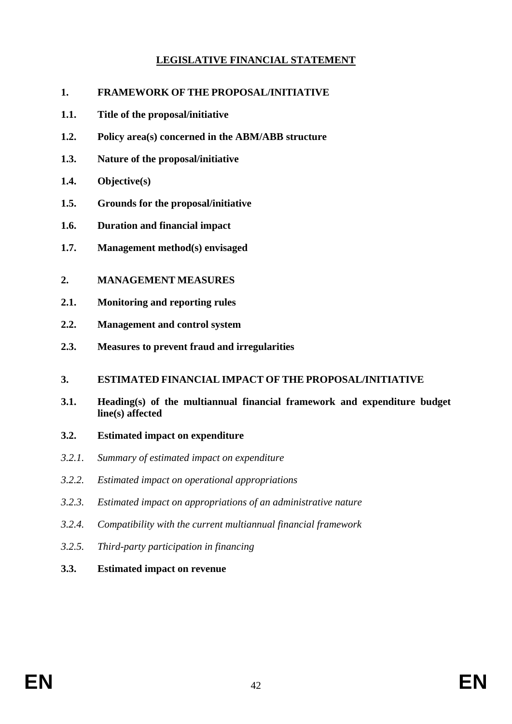## **LEGISLATIVE FINANCIAL STATEMENT**

- **1. FRAMEWORK OF THE PROPOSAL/INITIATIVE**
- **1.1. Title of the proposal/initiative**
- **1.2. Policy area(s) concerned in the ABM/ABB structure**
- **1.3. Nature of the proposal/initiative**
- **1.4. Objective(s)**
- **1.5. Grounds for the proposal/initiative**
- **1.6. Duration and financial impact**
- **1.7. Management method(s) envisaged**
- **2. MANAGEMENT MEASURES**
- **2.1. Monitoring and reporting rules**
- **2.2. Management and control system**
- **2.3. Measures to prevent fraud and irregularities**

#### **3. ESTIMATED FINANCIAL IMPACT OF THE PROPOSAL/INITIATIVE**

- **3.1. Heading(s) of the multiannual financial framework and expenditure budget line(s) affected**
- **3.2. Estimated impact on expenditure**
- *3.2.1. Summary of estimated impact on expenditure*
- *3.2.2. Estimated impact on operational appropriations*
- *3.2.3. Estimated impact on appropriations of an administrative nature*
- *3.2.4. Compatibility with the current multiannual financial framework*
- *3.2.5. Third-party participation in financing*
- **3.3. Estimated impact on revenue**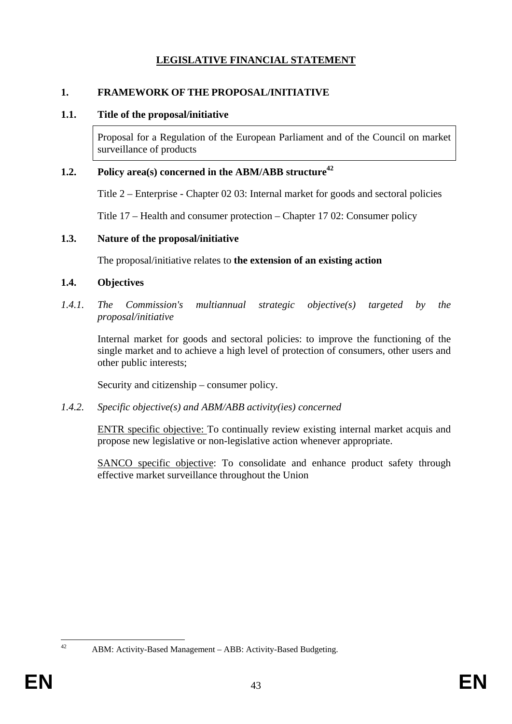## **LEGISLATIVE FINANCIAL STATEMENT**

### **1. FRAMEWORK OF THE PROPOSAL/INITIATIVE**

#### **1.1. Title of the proposal/initiative**

Proposal for a Regulation of the European Parliament and of the Council on market surveillance of products

### **1.2.** Policy area(s) concerned in the ABM/ABB structure<sup>42</sup>

Title 2 – Enterprise - Chapter 02 03: Internal market for goods and sectoral policies

Title 17 – Health and consumer protection – Chapter 17 02: Consumer policy

#### **1.3. Nature of the proposal/initiative**

The proposal/initiative relates to **the extension of an existing action**

#### **1.4. Objectives**

*1.4.1. The Commission's multiannual strategic objective(s) targeted by the proposal/initiative* 

Internal market for goods and sectoral policies: to improve the functioning of the single market and to achieve a high level of protection of consumers, other users and other public interests;

Security and citizenship – consumer policy.

*1.4.2. Specific objective(s) and ABM/ABB activity(ies) concerned* 

ENTR specific objective: To continually review existing internal market acquis and propose new legislative or non-legislative action whenever appropriate.

SANCO specific objective: To consolidate and enhance product safety through effective market surveillance throughout the Union

 $42$ 

ABM: Activity-Based Management – ABB: Activity-Based Budgeting.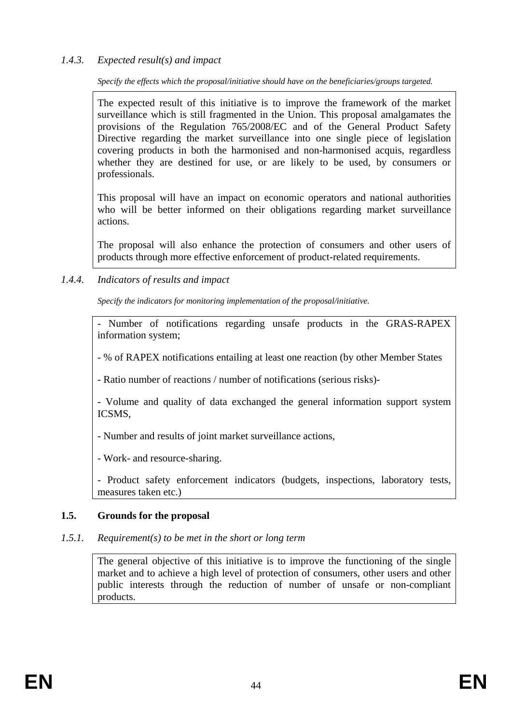## *1.4.3. Expected result(s) and impact*

*Specify the effects which the proposal/initiative should have on the beneficiaries/groups targeted.* 

The expected result of this initiative is to improve the framework of the market surveillance which is still fragmented in the Union. This proposal amalgamates the provisions of the Regulation 765/2008/EC and of the General Product Safety Directive regarding the market surveillance into one single piece of legislation covering products in both the harmonised and non-harmonised acquis, regardless whether they are destined for use, or are likely to be used, by consumers or professionals.

This proposal will have an impact on economic operators and national authorities who will be better informed on their obligations regarding market surveillance actions.

The proposal will also enhance the protection of consumers and other users of products through more effective enforcement of product-related requirements.

## *1.4.4. Indicators of results and impact*

*Specify the indicators for monitoring implementation of the proposal/initiative.* 

- Number of notifications regarding unsafe products in the GRAS-RAPEX information system;

- % of RAPEX notifications entailing at least one reaction (by other Member States

- Ratio number of reactions / number of notifications (serious risks)-

- Volume and quality of data exchanged the general information support system ICSMS,

- Number and results of joint market surveillance actions,

- Work- and resource-sharing.

- Product safety enforcement indicators (budgets, inspections, laboratory tests, measures taken etc.)

## **1.5. Grounds for the proposal**

#### *1.5.1. Requirement(s) to be met in the short or long term*

The general objective of this initiative is to improve the functioning of the single market and to achieve a high level of protection of consumers, other users and other public interests through the reduction of number of unsafe or non-compliant products.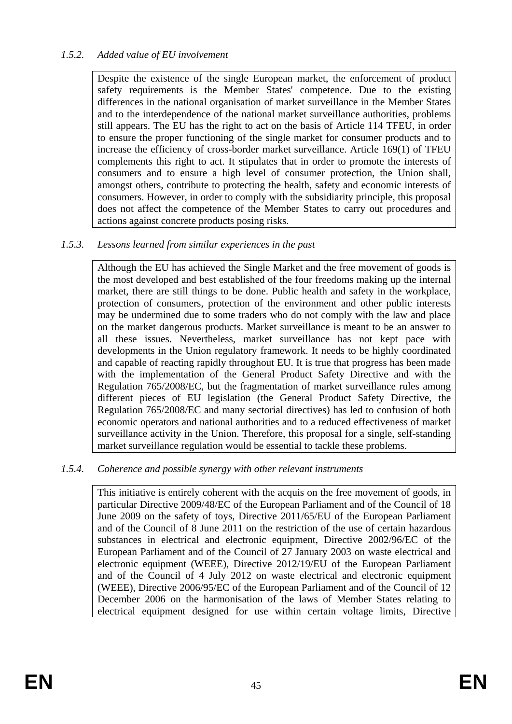## *1.5.2. Added value of EU involvement*

Despite the existence of the single European market, the enforcement of product safety requirements is the Member States' competence. Due to the existing differences in the national organisation of market surveillance in the Member States and to the interdependence of the national market surveillance authorities, problems still appears. The EU has the right to act on the basis of Article 114 TFEU, in order to ensure the proper functioning of the single market for consumer products and to increase the efficiency of cross-border market surveillance. Article 169(1) of TFEU complements this right to act. It stipulates that in order to promote the interests of consumers and to ensure a high level of consumer protection, the Union shall, amongst others, contribute to protecting the health, safety and economic interests of consumers. However, in order to comply with the subsidiarity principle, this proposal does not affect the competence of the Member States to carry out procedures and actions against concrete products posing risks.

## *1.5.3. Lessons learned from similar experiences in the past*

Although the EU has achieved the Single Market and the free movement of goods is the most developed and best established of the four freedoms making up the internal market, there are still things to be done. Public health and safety in the workplace, protection of consumers, protection of the environment and other public interests may be undermined due to some traders who do not comply with the law and place on the market dangerous products. Market surveillance is meant to be an answer to all these issues. Nevertheless, market surveillance has not kept pace with developments in the Union regulatory framework. It needs to be highly coordinated and capable of reacting rapidly throughout EU. It is true that progress has been made with the implementation of the General Product Safety Directive and with the Regulation 765/2008/EC, but the fragmentation of market surveillance rules among different pieces of EU legislation (the General Product Safety Directive, the Regulation 765/2008/EC and many sectorial directives) has led to confusion of both economic operators and national authorities and to a reduced effectiveness of market surveillance activity in the Union. Therefore, this proposal for a single, self-standing market surveillance regulation would be essential to tackle these problems.

## *1.5.4. Coherence and possible synergy with other relevant instruments*

This initiative is entirely coherent with the acquis on the free movement of goods, in particular Directive 2009/48/EC of the European Parliament and of the Council of 18 June 2009 on the safety of toys, Directive 2011/65/EU of the European Parliament and of the Council of 8 June 2011 on the restriction of the use of certain hazardous substances in electrical and electronic equipment, Directive 2002/96/EC of the European Parliament and of the Council of 27 January 2003 on waste electrical and electronic equipment (WEEE), Directive 2012/19/EU of the European Parliament and of the Council of 4 July 2012 on waste electrical and electronic equipment (WEEE), Directive 2006/95/EC of the European Parliament and of the Council of 12 December 2006 on the harmonisation of the laws of Member States relating to electrical equipment designed for use within certain voltage limits, Directive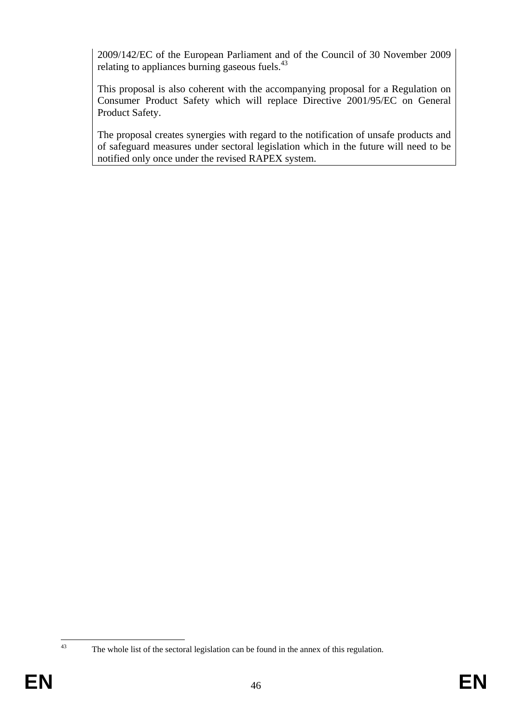2009/142/EC of the European Parliament and of the Council of 30 November 2009 relating to appliances burning gaseous fuels.<sup>43</sup>

This proposal is also coherent with the accompanying proposal for a Regulation on Consumer Product Safety which will replace Directive 2001/95/EC on General Product Safety.

The proposal creates synergies with regard to the notification of unsafe products and of safeguard measures under sectoral legislation which in the future will need to be notified only once under the revised RAPEX system.

 $43$ 

The whole list of the sectoral legislation can be found in the annex of this regulation.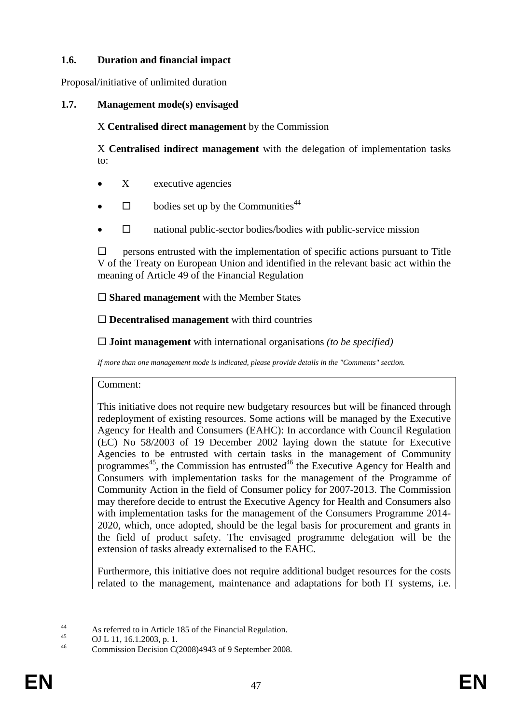## **1.6. Duration and financial impact**

Proposal/initiative of unlimited duration

## **1.7. Management mode(s) envisaged**

X **Centralised direct management** by the Commission

X **Centralised indirect management** with the delegation of implementation tasks to:

- $X$  executive agencies
- $\Box$  bodies set up by the Communities<sup>44</sup>
- $\Box$  national public-sector bodies/bodies with public-service mission

 $\square$  persons entrusted with the implementation of specific actions pursuant to Title V of the Treaty on European Union and identified in the relevant basic act within the meaning of Article 49 of the Financial Regulation

**Shared management** with the Member States

**Decentralised management** with third countries

**Joint management** with international organisations *(to be specified)* 

*If more than one management mode is indicated, please provide details in the "Comments" section.* 

Comment:

This initiative does not require new budgetary resources but will be financed through redeployment of existing resources. Some actions will be managed by the Executive Agency for Health and Consumers (EAHC): In accordance with Council Regulation (EC) No 58/2003 of 19 December 2002 laying down the statute for Executive Agencies to be entrusted with certain tasks in the management of Community programmes<sup>45</sup>, the Commission has entrusted<sup>46</sup> the Executive Agency for Health and Consumers with implementation tasks for the management of the Programme of Community Action in the field of Consumer policy for 2007-2013. The Commission may therefore decide to entrust the Executive Agency for Health and Consumers also with implementation tasks for the management of the Consumers Programme 2014- 2020, which, once adopted, should be the legal basis for procurement and grants in the field of product safety. The envisaged programme delegation will be the extension of tasks already externalised to the EAHC.

Furthermore, this initiative does not require additional budget resources for the costs related to the management, maintenance and adaptations for both IT systems, i.e.

 $\overline{44}$ 44 As referred to in Article 185 of the Financial Regulation.

<sup>&</sup>lt;sup>45</sup> OJ L 11, 16.1.2003, p. 1.

Commission Decision C(2008)4943 of 9 September 2008.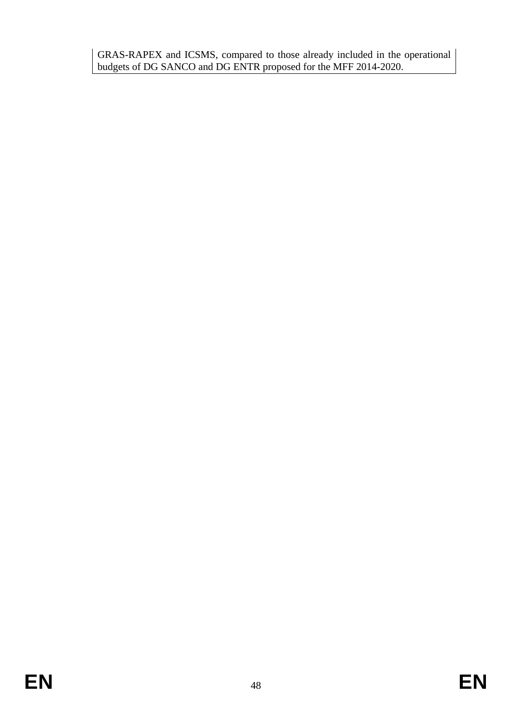GRAS-RAPEX and ICSMS, compared to those already included in the operational budgets of DG SANCO and DG ENTR proposed for the MFF 2014-2020.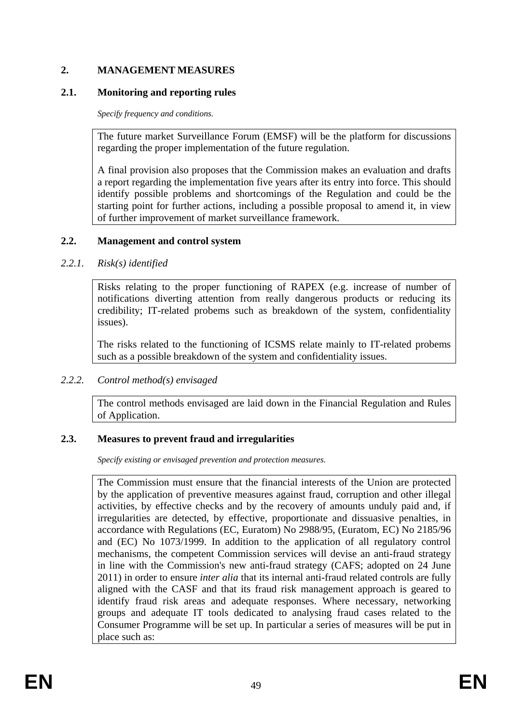## **2. MANAGEMENT MEASURES**

### **2.1. Monitoring and reporting rules**

*Specify frequency and conditions.* 

The future market Surveillance Forum (EMSF) will be the platform for discussions regarding the proper implementation of the future regulation.

A final provision also proposes that the Commission makes an evaluation and drafts a report regarding the implementation five years after its entry into force. This should identify possible problems and shortcomings of the Regulation and could be the starting point for further actions, including a possible proposal to amend it, in view of further improvement of market surveillance framework.

### **2.2. Management and control system**

### *2.2.1. Risk(s) identified*

Risks relating to the proper functioning of RAPEX (e.g. increase of number of notifications diverting attention from really dangerous products or reducing its credibility; IT-related probems such as breakdown of the system, confidentiality issues).

The risks related to the functioning of ICSMS relate mainly to IT-related probems such as a possible breakdown of the system and confidentiality issues.

## *2.2.2. Control method(s) envisaged*

The control methods envisaged are laid down in the Financial Regulation and Rules of Application.

## **2.3. Measures to prevent fraud and irregularities**

*Specify existing or envisaged prevention and protection measures.* 

The Commission must ensure that the financial interests of the Union are protected by the application of preventive measures against fraud, corruption and other illegal activities, by effective checks and by the recovery of amounts unduly paid and, if irregularities are detected, by effective, proportionate and dissuasive penalties, in accordance with Regulations (EC, Euratom) No 2988/95, (Euratom, EC) No 2185/96 and (EC) No 1073/1999. In addition to the application of all regulatory control mechanisms, the competent Commission services will devise an anti-fraud strategy in line with the Commission's new anti-fraud strategy (CAFS; adopted on 24 June 2011) in order to ensure *inter alia* that its internal anti-fraud related controls are fully aligned with the CASF and that its fraud risk management approach is geared to identify fraud risk areas and adequate responses. Where necessary, networking groups and adequate IT tools dedicated to analysing fraud cases related to the Consumer Programme will be set up. In particular a series of measures will be put in place such as: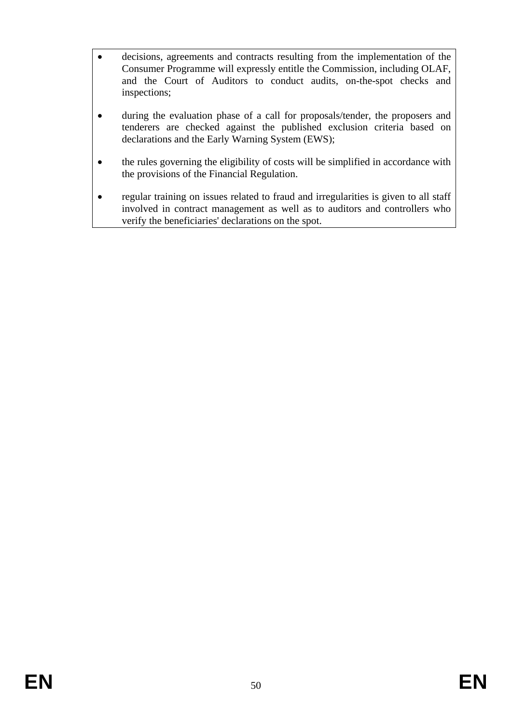- decisions, agreements and contracts resulting from the implementation of the Consumer Programme will expressly entitle the Commission, including OLAF, and the Court of Auditors to conduct audits, on-the-spot checks and inspections;
- during the evaluation phase of a call for proposals/tender, the proposers and tenderers are checked against the published exclusion criteria based on declarations and the Early Warning System (EWS);
- the rules governing the eligibility of costs will be simplified in accordance with the provisions of the Financial Regulation.
- regular training on issues related to fraud and irregularities is given to all staff involved in contract management as well as to auditors and controllers who verify the beneficiaries' declarations on the spot.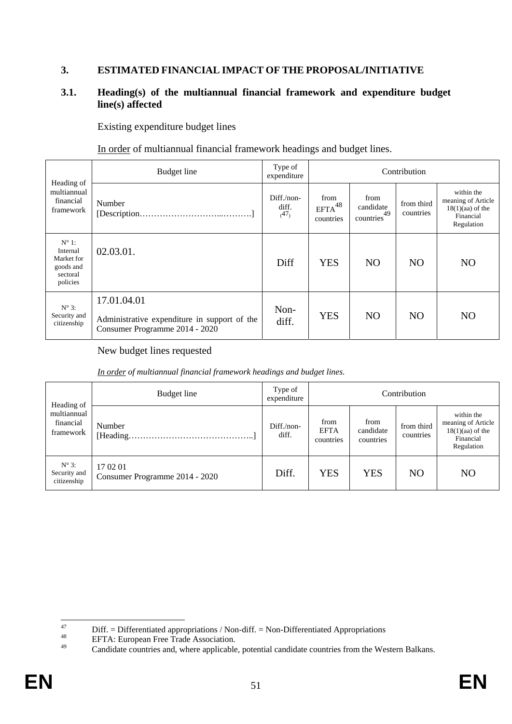## **3. ESTIMATED FINANCIAL IMPACT OF THE PROPOSAL/INITIATIVE**

### **3.1. Heading(s) of the multiannual financial framework and expenditure budget line(s) affected**

Existing expenditure budget lines

In order of multiannual financial framework headings and budget lines.

| Budget line<br>Heading of                                                     |                                                                                               | Type of<br>expenditure           |                                                  | Contribution            |                                                                                   |                |  |  |  |
|-------------------------------------------------------------------------------|-----------------------------------------------------------------------------------------------|----------------------------------|--------------------------------------------------|-------------------------|-----------------------------------------------------------------------------------|----------------|--|--|--|
| multiannual<br>financial<br>Number<br>framework                               | Diff./non-<br>diff.<br>(47)                                                                   | from<br>$EFTA^{48}$<br>countries | from<br>candidate<br>49<br>countries <sup></sup> | from third<br>countries | within the<br>meaning of Article<br>$18(1)(aa)$ of the<br>Financial<br>Regulation |                |  |  |  |
| $N^{\circ}$ 1:<br>Internal<br>Market for<br>goods and<br>sectoral<br>policies | 02.03.01.                                                                                     | Diff                             | <b>YES</b>                                       | N <sub>O</sub>          | N <sub>O</sub>                                                                    | N <sub>O</sub> |  |  |  |
| $N^{\circ}$ 3:<br>Security and<br>citizenship                                 | 17.01.04.01<br>Administrative expenditure in support of the<br>Consumer Programme 2014 - 2020 | Non-<br>diff.                    | <b>YES</b>                                       | N <sub>O</sub>          | N <sub>O</sub>                                                                    | N <sub>O</sub> |  |  |  |

New budget lines requested

*In order of multiannual financial framework headings and budget lines.* 

| Heading of                                      | Budget line                                | Type of<br>expenditure           | Contribution                   |                         |                                                                                   |                |  |  |
|-------------------------------------------------|--------------------------------------------|----------------------------------|--------------------------------|-------------------------|-----------------------------------------------------------------------------------|----------------|--|--|
| multiannual<br>financial<br>Number<br>framework | Diff./non-<br>diff.                        | from<br><b>EFTA</b><br>countries | from<br>candidate<br>countries | from third<br>countries | within the<br>meaning of Article<br>$18(1)(aa)$ of the<br>Financial<br>Regulation |                |  |  |
| $N^{\circ}$ 3:<br>Security and<br>citizenship   | 17 02 01<br>Consumer Programme 2014 - 2020 | Diff.                            | <b>YES</b>                     | <b>YES</b>              | N <sub>O</sub>                                                                    | N <sub>O</sub> |  |  |

 $47$ <sup>47</sup> Diff. = Differentiated appropriations / Non-diff. = Non-Differentiated Appropriations<br><sup>48</sup> EFTA: European Free Trade Association.<br>Condidate countries and where applicable potential applicate countries from the Wa

Candidate countries and, where applicable, potential candidate countries from the Western Balkans.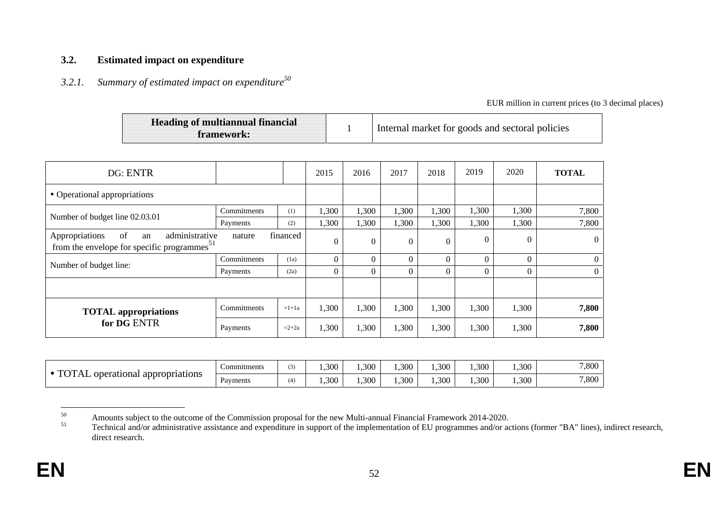#### **3.2. Estimated impact on expenditure**

## *3.2.1. Summary of estimated impact on expenditure<sup>50</sup>*

EUR million in current prices (to 3 decimal places)

| <b>Heading of multiannual financial</b><br>framework: |  | Internal market for goods and sectoral policies |
|-------------------------------------------------------|--|-------------------------------------------------|
|-------------------------------------------------------|--|-------------------------------------------------|

| DG: ENTR                                                                                                                |             |         | 2015           | 2016     | 2017           | 2018     | 2019     | 2020           | <b>TOTAL</b>   |
|-------------------------------------------------------------------------------------------------------------------------|-------------|---------|----------------|----------|----------------|----------|----------|----------------|----------------|
| • Operational appropriations                                                                                            |             |         |                |          |                |          |          |                |                |
| Number of budget line 02.03.01                                                                                          | Commitments | (1)     | 1,300          | 1,300    | 1,300          | 1,300    | 1,300    | 1,300          | 7,800          |
|                                                                                                                         | Payments    | (2)     | 1,300          | 1,300    | 1,300          | 1,300    | 1,300    | 1,300          | 7,800          |
| Appropriations<br>administrative<br>of<br>financed<br>nature<br>an<br>from the envelope for specific programmes $^{51}$ |             | 0       | $\overline{0}$ | $\Omega$ | $\overline{0}$ | $\Omega$ | $\theta$ | $\overline{0}$ |                |
| Number of budget line:                                                                                                  | Commitments | (1a)    | 0              | 0        | 0              | $\Omega$ | $\Omega$ |                | $\overline{0}$ |
|                                                                                                                         | Payments    | (2a)    | 0              | $\Omega$ | 0              | $\Omega$ | $\theta$ |                | $\overline{0}$ |
|                                                                                                                         |             |         |                |          |                |          |          |                |                |
| <b>TOTAL</b> appropriations<br>for DG ENTR                                                                              | Commitments | $=1+1a$ | 1,300          | 1,300    | 1,300          | 1,300    | 1,300    | 1,300          | 7,800          |
|                                                                                                                         | Payments    | $=2+2a$ | 1,300          | 1,300    | 1,300          | 1,300    | 1,300    | 1,300          | 7,800          |

| $T\cap T$<br>appropriations<br>operational<br>'I AL | Commitments |               | ,300 | .300 | ,300 | .300 | .300 | 1,300 | 7,800 |
|-----------------------------------------------------|-------------|---------------|------|------|------|------|------|-------|-------|
|                                                     | Payments    | $A \setminus$ | ,300 | ,300 | .300 | ,300 | ,300 | 1,300 | 7,800 |

<sup>&</sup>lt;sup>50</sup><br>Amounts subject to the outcome of the Commission proposal for the new Multi-annual Financial Framework 2014-2020.

Technical and/or administrative assistance and expenditure in support of the implementation of EU programmes and/or actions (former "BA" lines), indirect research, direct research.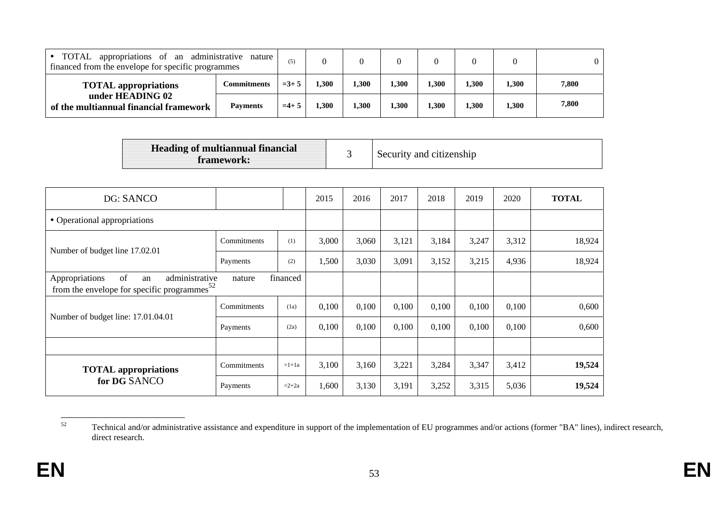| TOTAL appropriations of an administrative nature<br>financed from the envelope for specific programmes |                 | (5)    |      |       |       |       |       |       |       |
|--------------------------------------------------------------------------------------------------------|-----------------|--------|------|-------|-------|-------|-------|-------|-------|
| <b>TOTAL</b> appropriations<br>under HEADING 02<br>of the multiannual financial framework              | Commitments     | $=3+5$ | .300 | 1,300 | 1,300 | 1,300 | 1.300 | . 300 | 7,800 |
|                                                                                                        | <b>Payments</b> | $=4+$  | 300  | 1,300 | 1.300 | 1,300 | 1,300 | 1,300 | 7,800 |

| <b>Heading of multiannual financial</b><br>framework: |  | Security and citizenship |
|-------------------------------------------------------|--|--------------------------|
|-------------------------------------------------------|--|--------------------------|

| DG: SANCO                                                                                                            |             |         | 2015  | 2016  | 2017  | 2018  | 2019  | 2020  | <b>TOTAL</b> |
|----------------------------------------------------------------------------------------------------------------------|-------------|---------|-------|-------|-------|-------|-------|-------|--------------|
| • Operational appropriations                                                                                         |             |         |       |       |       |       |       |       |              |
| Number of budget line 17.02.01                                                                                       | Commitments | (1)     | 3,000 | 3,060 | 3,121 | 3,184 | 3,247 | 3,312 | 18,924       |
|                                                                                                                      | Payments    | (2)     | 1,500 | 3,030 | 3,091 | 3,152 | 3,215 | 4,936 | 18,924       |
| of<br>Appropriations<br>administrative<br>financed<br>an<br>nature<br>from the envelope for specific programmes $52$ |             |         |       |       |       |       |       |       |              |
|                                                                                                                      | Commitments | (1a)    | 0,100 | 0,100 | 0,100 | 0,100 | 0,100 | 0,100 | 0,600        |
| Number of budget line: 17.01.04.01                                                                                   | Payments    | (2a)    | 0,100 | 0,100 | 0,100 | 0,100 | 0,100 | 0,100 | 0,600        |
|                                                                                                                      |             |         |       |       |       |       |       |       |              |
| <b>TOTAL</b> appropriations                                                                                          | Commitments | $=1+1a$ | 3,100 | 3,160 | 3,221 | 3,284 | 3,347 | 3,412 | 19,524       |
| for DG SANCO                                                                                                         | Payments    | $=2+2a$ | 1,600 | 3,130 | 3,191 | 3,252 | 3,315 | 5,036 | 19,524       |

<sup>52</sup> Technical and/or administrative assistance and expenditure in support of the implementation of EU programmes and/or actions (former "BA" lines), indirect research, direct research.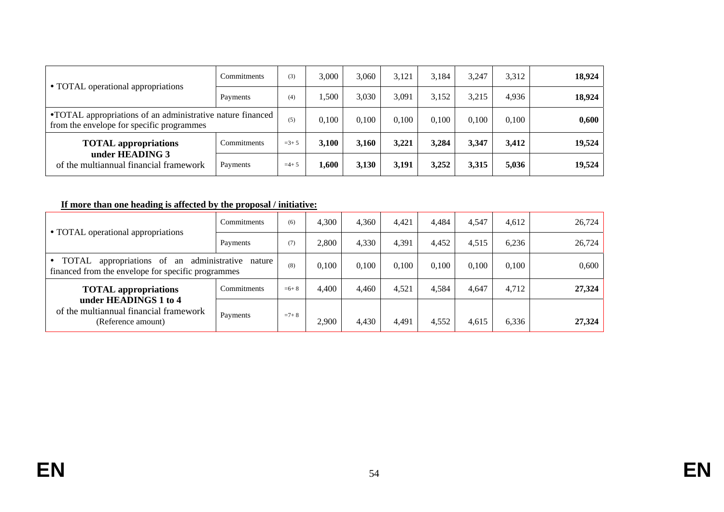| • TOTAL operational appropriations                                                                       | Commitments | (3)    | 3.000 | 3,060 | 3.121 | 3.184 | 3.247 | 3.312 | 18,924 |
|----------------------------------------------------------------------------------------------------------|-------------|--------|-------|-------|-------|-------|-------|-------|--------|
|                                                                                                          | Payments    | (4)    | 1,500 | 3,030 | 3,091 | 3,152 | 3,215 | 4.936 | 18,924 |
| • TOTAL appropriations of an administrative nature financed<br>from the envelope for specific programmes |             | (5)    | 0,100 | 0.100 | 0,100 | 0.100 | 0.100 | 0.100 | 0,600  |
| <b>TOTAL</b> appropriations                                                                              | Commitments | $=3+5$ | 3,100 | 3,160 | 3,221 | 3,284 | 3,347 | 3,412 | 19,524 |
| under HEADING 3<br>of the multiannual financial framework                                                | Payments    | $=4+5$ | 1.600 | 3,130 | 3,191 | 3,252 | 3,315 | 5,036 | 19,524 |

## **If more than one heading is affected by the proposal / initiative:**

| • TOTAL operational appropriations                                                                                   | Commitments | (6)       | 4,300 | 4.360 | 4.421 | 4.484 | 4.547 | 4.612 | 26,724 |
|----------------------------------------------------------------------------------------------------------------------|-------------|-----------|-------|-------|-------|-------|-------|-------|--------|
|                                                                                                                      | Payments    | (7)       | 2.800 | 4.330 | 4.391 | 4.452 | 4.515 | 6.236 | 26,724 |
| TOTAL<br>appropriations of<br>administrative nature<br>an<br>financed from the envelope for specific programmes      |             | (8)       | 0,100 | 0.100 | 0,100 | 0.100 | 0,100 | 0.100 | 0,600  |
| <b>TOTAL</b> appropriations<br>under HEADINGS 1 to 4<br>of the multiannual financial framework<br>(Reference amount) | Commitments | $= 6 + 8$ | 4,400 | 4.460 | 4,521 | 4,584 | 4,647 | 4.712 | 27,324 |
|                                                                                                                      | Payments    | $=7+8$    | 2,900 | 4,430 | 4.491 | 4,552 | 4,615 | 6,336 | 27,324 |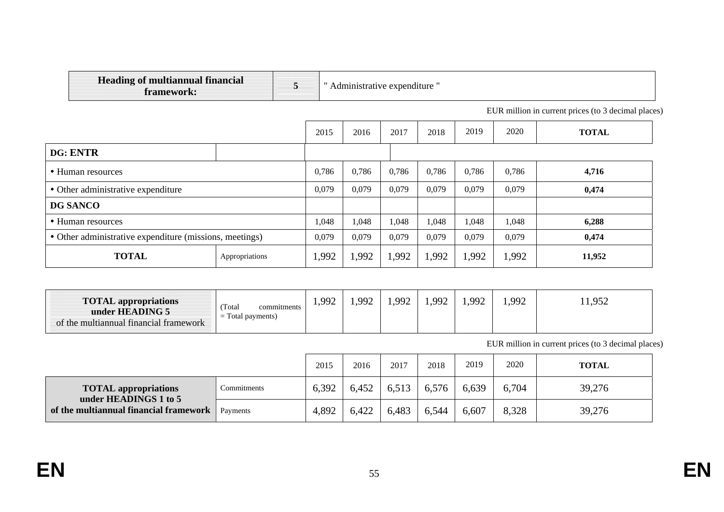| <b>Heading of multiannual financial</b><br>framework:   |                | 5 |       | Administrative expenditure " |       |       |       |       |                                                     |
|---------------------------------------------------------|----------------|---|-------|------------------------------|-------|-------|-------|-------|-----------------------------------------------------|
|                                                         |                |   |       |                              |       |       |       |       | EUR million in current prices (to 3 decimal places) |
|                                                         |                |   | 2015  | 2016                         | 2017  | 2018  | 2019  | 2020  | <b>TOTAL</b>                                        |
| DG: ENTR                                                |                |   |       |                              |       |       |       |       |                                                     |
| • Human resources                                       |                |   | 0,786 | 0,786                        | 0,786 | 0,786 | 0,786 | 0,786 | 4,716                                               |
| • Other administrative expenditure                      |                |   | 0,079 | 0,079                        | 0,079 | 0,079 | 0,079 | 0,079 | 0,474                                               |
| <b>DG SANCO</b>                                         |                |   |       |                              |       |       |       |       |                                                     |
| • Human resources                                       |                |   | 1,048 | 1,048                        | 1,048 | 1,048 | 1,048 | 1,048 | 6,288                                               |
| • Other administrative expenditure (missions, meetings) |                |   | 0,079 | 0,079                        | 0,079 | 0,079 | 0,079 | 0,079 | 0,474                                               |
| <b>TOTAL</b>                                            | Appropriations |   | 1,992 | 1,992                        | 1,992 | 1,992 | 1,992 | 1,992 | 11,952                                              |

| <b>TOTAL appropriations</b><br>under HEADING 5<br>of the multiannual financial framework | Total<br>commitments<br>$\mathbf{m}$<br>Total payments)<br>$\hspace{0.05cm}$<br>$\overline{\phantom{0}}$ | 992<br>. | QQ | 992 | 1,992 | 992 | .992 | 1.952<br>1,704 |
|------------------------------------------------------------------------------------------|----------------------------------------------------------------------------------------------------------|----------|----|-----|-------|-----|------|----------------|
|------------------------------------------------------------------------------------------|----------------------------------------------------------------------------------------------------------|----------|----|-----|-------|-----|------|----------------|

EUR million in current prices (to 3 decimal places)

|                                                      |             | 2015  | 2016  | 2017  | 2018  | 2019  | 2020  | <b>TOTAL</b> |
|------------------------------------------------------|-------------|-------|-------|-------|-------|-------|-------|--------------|
| <b>TOTAL</b> appropriations<br>under HEADINGS 1 to 5 | Commitments | 6,392 | 6,452 | 6,513 | 6,576 | 6,639 | 6,704 | 39,276       |
| of the multiannual financial framework               | Payments    | 4,892 | 6,422 | 6,483 | 6,544 | 6,607 | 8,328 | 39,276       |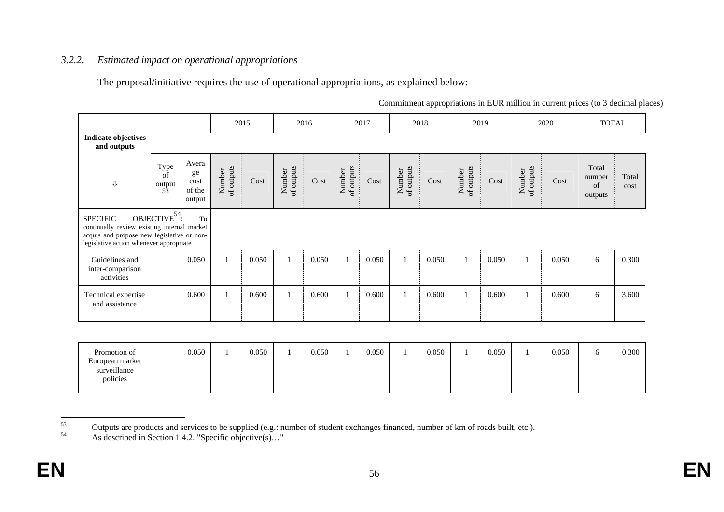### *3.2.2. Estimated impact on operational appropriations*

The proposal/initiative requires the use of operational appropriations, as explained below:

|                                                                                                                                                         |                                          |                                         |                      | 2015  |                      | 2016  |                      | 2017  |                      | 2018  |                      | 2019  |                      | 2020  | <b>TOTAL</b>                     |               |
|---------------------------------------------------------------------------------------------------------------------------------------------------------|------------------------------------------|-----------------------------------------|----------------------|-------|----------------------|-------|----------------------|-------|----------------------|-------|----------------------|-------|----------------------|-------|----------------------------------|---------------|
| <b>Indicate objectives</b><br>and outputs                                                                                                               |                                          |                                         |                      |       |                      |       |                      |       |                      |       |                      |       |                      |       |                                  |               |
| ⇩                                                                                                                                                       | Type<br>of<br>$\frac{\text{output}}{53}$ | Avera<br>ge<br>cost<br>of the<br>output | Number<br>of outputs | Cost  | of outputs<br>Number | Cost  | of outputs<br>Number | Cost  | Number<br>of outputs | Cost  | of outputs<br>Number | Cost  | of outputs<br>Number | Cost  | Total<br>number<br>of<br>outputs | Total<br>cost |
| <b>SPECIFIC</b><br>continually review existing internal market<br>acquis and propose new legislative or non-<br>legislative action whenever appropriate | OBJECTIVE <sup>54</sup> :                | To                                      |                      |       |                      |       |                      |       |                      |       |                      |       |                      |       |                                  |               |
| Guidelines and<br>inter-comparison<br>activities                                                                                                        |                                          | 0.050                                   |                      | 0.050 |                      | 0.050 |                      | 0.050 |                      | 0.050 |                      | 0.050 | $\mathbf{1}$         | 0,050 | 6                                | 0.300         |
| Technical expertise<br>and assistance                                                                                                                   |                                          | 0.600                                   |                      | 0.600 |                      | 0.600 |                      | 0.600 |                      | 0.600 |                      | 0.600 |                      | 0,600 | 6                                | 3.600         |
|                                                                                                                                                         |                                          |                                         |                      |       |                      |       |                      |       |                      |       |                      |       |                      |       |                                  |               |
| Promotion of<br>European market                                                                                                                         |                                          | 0.050                                   |                      | 0.050 | $\mathbf{1}$         | 0.050 |                      | 0.050 |                      | 0.050 |                      | 0.050 |                      | 0.050 | 6                                | 0.300         |

Commitment appropriations in EUR million in current prices (to 3 decimal places)

surveillance policies

<sup>53</sup> Outputs are products and services to be supplied (e.g.: number of student exchanges financed, number of km of roads built, etc.). As described in Section 1.4.2. "Specific objective(s)..."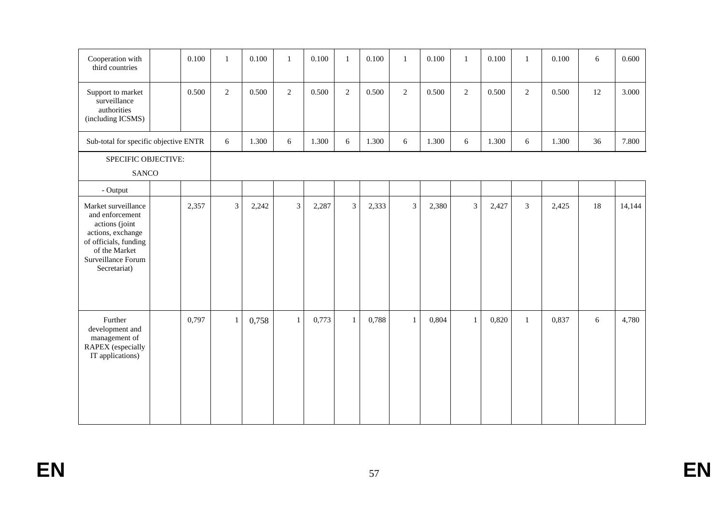| Cooperation with<br>third countries                                                                                                                           | 0.100 | $\mathbf{1}$   | 0.100 | $\mathbf{1}$   | 0.100 | $\mathbf{1}$   | 0.100 | $\mathbf{1}$   | 0.100 | $\mathbf{1}$   | 0.100 | $\mathbf{1}$   | 0.100 | 6  | 0.600  |
|---------------------------------------------------------------------------------------------------------------------------------------------------------------|-------|----------------|-------|----------------|-------|----------------|-------|----------------|-------|----------------|-------|----------------|-------|----|--------|
| Support to market<br>surveillance<br>authorities<br>(including ICSMS)                                                                                         | 0.500 | 2              | 0.500 | $\overline{2}$ | 0.500 | 2              | 0.500 | $\overline{2}$ | 0.500 | 2              | 0.500 | $\overline{2}$ | 0.500 | 12 | 3.000  |
| Sub-total for specific objective ENTR                                                                                                                         |       | 6              | 1.300 | $6\,$          | 1.300 | 6              | 1.300 | 6              | 1.300 | 6              | 1.300 | 6              | 1.300 | 36 | 7.800  |
| SPECIFIC OBJECTIVE:<br><b>SANCO</b>                                                                                                                           |       |                |       |                |       |                |       |                |       |                |       |                |       |    |        |
| - Output                                                                                                                                                      |       |                |       |                |       |                |       |                |       |                |       |                |       |    |        |
| Market surveillance<br>and enforcement<br>actions (joint<br>actions, exchange<br>of officials, funding<br>of the Market<br>Surveillance Forum<br>Secretariat) | 2,357 | $\overline{3}$ | 2,242 | $\overline{3}$ | 2,287 | $\overline{3}$ | 2,333 | $\overline{3}$ | 2,380 | $\overline{3}$ | 2,427 | 3              | 2,425 | 18 | 14,144 |
| Further<br>development and<br>management of<br>RAPEX (especially<br>IT applications)                                                                          | 0,797 | $\mathbf{1}$   | 0,758 | $\mathbf{1}$   | 0,773 | 1              | 0,788 | $\mathbf{1}$   | 0,804 | $\mathbf{1}$   | 0,820 | $\mathbf{1}$   | 0,837 | 6  | 4,780  |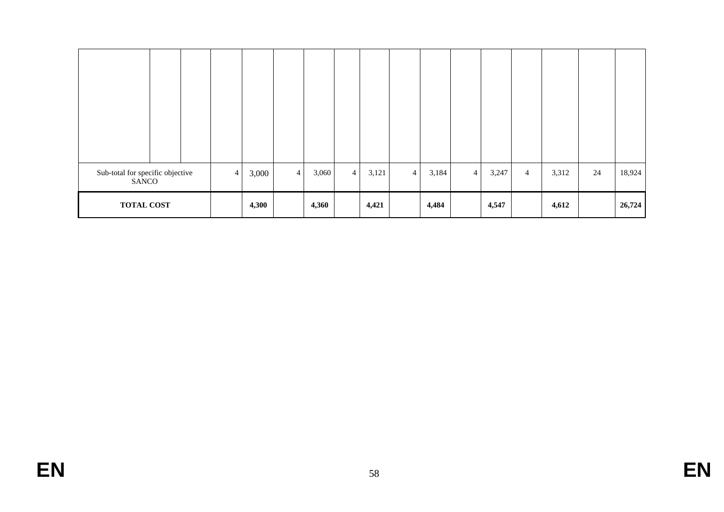| Sub-total for specific objective<br>SANCO |  | $\overline{4}$ | 3,000 | $\overline{4}$ | 3,060 | $\overline{4}$ | 3,121 | $\overline{4}$ | 3,184 | $\overline{4}$ | 3,247 | $\overline{4}$ | 3,312 | 24 | 18,924 |
|-------------------------------------------|--|----------------|-------|----------------|-------|----------------|-------|----------------|-------|----------------|-------|----------------|-------|----|--------|
| <b>TOTAL COST</b>                         |  |                | 4,300 |                | 4,360 |                | 4,421 |                | 4,484 |                | 4,547 |                | 4,612 |    | 26,724 |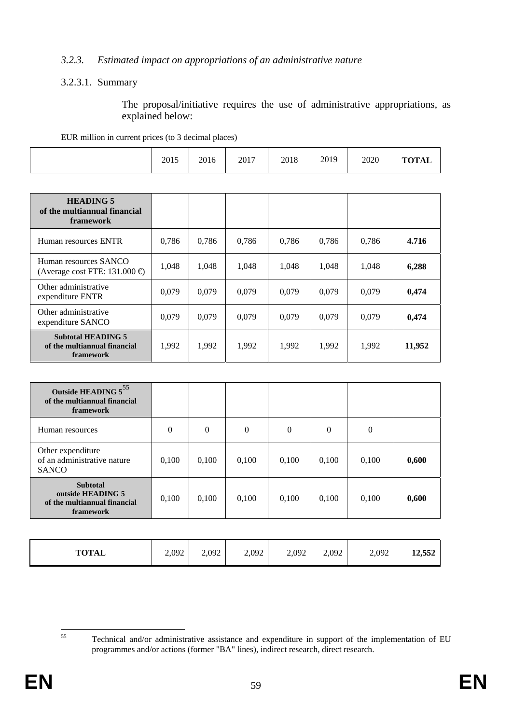#### *3.2.3. Estimated impact on appropriations of an administrative nature*

#### 3.2.3.1. Summary

The proposal/initiative requires the use of administrative appropriations, as explained below:

| EUR million in current prices (to 3 decimal places) |      |      |      |      |      |      |              |
|-----------------------------------------------------|------|------|------|------|------|------|--------------|
|                                                     | 2015 | 2016 | 2017 | 2018 | 2019 | 2020 | <b>TOTAL</b> |

| <b>HEADING 5</b><br>of the multiannual financial<br><b>framework</b>          |       |       |       |       |       |       |        |
|-------------------------------------------------------------------------------|-------|-------|-------|-------|-------|-------|--------|
| Human resources ENTR                                                          | 0,786 | 0.786 | 0.786 | 0.786 | 0,786 | 0,786 | 4.716  |
| Human resources SANCO<br>(Average cost FTE: 131.000 $\oplus$                  | 1,048 | 1,048 | 1,048 | 1,048 | 1,048 | 1,048 | 6,288  |
| Other administrative<br>expenditure ENTR                                      | 0.079 | 0.079 | 0.079 | 0.079 | 0.079 | 0.079 | 0,474  |
| Other administrative<br>expenditure SANCO                                     | 0.079 | 0.079 | 0.079 | 0.079 | 0.079 | 0,079 | 0,474  |
| <b>Subtotal HEADING 5</b><br>of the multiannual financial<br><b>framework</b> | 1,992 | 1,992 | 1,992 | 1,992 | 1,992 | 1,992 | 11,952 |

| Outside HEADING 555<br>of the multiannual financial<br>framework                  |       |                  |                |          |                  |          |       |
|-----------------------------------------------------------------------------------|-------|------------------|----------------|----------|------------------|----------|-------|
| Human resources                                                                   | 0     | $\boldsymbol{0}$ | $\overline{0}$ | $\theta$ | $\boldsymbol{0}$ | $\theta$ |       |
| Other expenditure<br>of an administrative nature<br><b>SANCO</b>                  | 0,100 | 0,100            | 0,100          | 0,100    | 0,100            | 0,100    | 0,600 |
| <b>Subtotal</b><br>outside HEADING 5<br>of the multiannual financial<br>framework | 0,100 | 0,100            | 0,100          | 0,100    | 0,100            | 0,100    | 0,600 |

| 2,092<br><b>TOTAL</b> | 2,092 | 2,092 | 2,092 | 2,092 | 2,092 | 12,552 |
|-----------------------|-------|-------|-------|-------|-------|--------|
|-----------------------|-------|-------|-------|-------|-------|--------|

 $55$ 55 Technical and/or administrative assistance and expenditure in support of the implementation of EU programmes and/or actions (former "BA" lines), indirect research, direct research.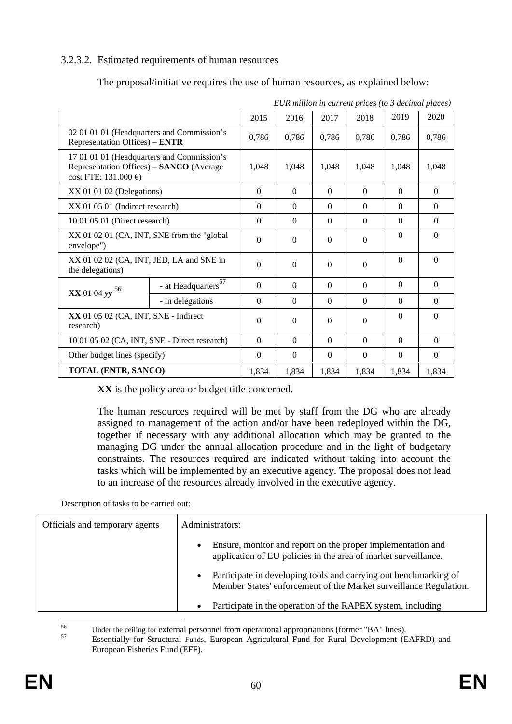## 3.2.3.2. Estimated requirements of human resources

The proposal/initiative requires the use of human resources, as explained below:

|                                                                                                                           |                                              | 2015     | 2016     | 2017     | 2018     | 2019     | 2020         |
|---------------------------------------------------------------------------------------------------------------------------|----------------------------------------------|----------|----------|----------|----------|----------|--------------|
| 02 01 01 01 (Headquarters and Commission's<br>Representation Offices) – ENTR                                              |                                              | 0,786    | 0,786    | 0,786    | 0,786    | 0,786    | 0,786        |
| 17 01 01 01 (Headquarters and Commission's<br>Representation Offices) - SANCO (Average<br>$cost$ FTE: 131.000 $\bigoplus$ |                                              | 1,048    | 1,048    | 1.048    | 1.048    | 1,048    | 1,048        |
| $XX$ 01 01 02 (Delegations)                                                                                               |                                              | $\Omega$ | $\theta$ | $\Omega$ | $\Omega$ | $\Omega$ | $\Omega$     |
| XX 01 05 01 (Indirect research)                                                                                           |                                              | $\Omega$ | $\theta$ | $\Omega$ | $\Omega$ | $\Omega$ | $\Omega$     |
|                                                                                                                           | 10 01 05 01 (Direct research)                |          |          | $\Omega$ | $\theta$ | $\Omega$ | $\Omega$     |
| envelope")                                                                                                                | XX 01 02 01 (CA, INT, SNE from the "global"  |          |          | $\Omega$ | $\Omega$ | $\theta$ | $\Omega$     |
| XX 01 02 02 (CA, INT, JED, LA and SNE in<br>the delegations)                                                              |                                              | $\Omega$ | $\Omega$ | $\theta$ | $\Omega$ | $\Omega$ | $\Omega$     |
| $XX$ 01 04 yy $^{56}$                                                                                                     | - at Headquarters $\boldsymbol{^{57}}$       | $\Omega$ | $\Omega$ | $\theta$ | $\Omega$ | $\Omega$ | $\mathbf{0}$ |
|                                                                                                                           | - in delegations                             | $\Omega$ | $\theta$ | $\Omega$ | $\Omega$ | $\Omega$ | $\Omega$     |
| XX 01 05 02 (CA, INT, SNE - Indirect<br>research)                                                                         | $\Omega$                                     | $\Omega$ | $\theta$ | $\Omega$ | $\Omega$ | $\Omega$ |              |
|                                                                                                                           | 10 01 05 02 (CA, INT, SNE - Direct research) |          |          | $\Omega$ | $\Omega$ | $\Omega$ | $\Omega$     |
|                                                                                                                           | Other budget lines (specify)                 |          |          | $\Omega$ | $\theta$ | $\Omega$ | $\Omega$     |
|                                                                                                                           | <b>TOTAL (ENTR, SANCO)</b>                   |          |          | 1,834    | 1,834    | 1,834    | 1,834        |

*EUR million in current prices (to 3 decimal places)* 

**XX** is the policy area or budget title concerned.

The human resources required will be met by staff from the DG who are already assigned to management of the action and/or have been redeployed within the DG, together if necessary with any additional allocation which may be granted to the managing DG under the annual allocation procedure and in the light of budgetary constraints. The resources required are indicated without taking into account the tasks which will be implemented by an executive agency. The proposal does not lead to an increase of the resources already involved in the executive agency.

Description of tasks to be carried out:

| Officials and temporary agents | Administrators:                                                                                                                                    |
|--------------------------------|----------------------------------------------------------------------------------------------------------------------------------------------------|
|                                | Ensure, monitor and report on the proper implementation and<br>application of EU policies in the area of market surveillance.                      |
|                                | Participate in developing tools and carrying out benchmarking of<br>$\bullet$<br>Member States' enforcement of the Market surveillance Regulation. |
|                                | Participate in the operation of the RAPEX system, including                                                                                        |

56

<sup>56</sup> Under the ceiling for external personnel from operational appropriations (former "BA" lines).<br><sup>57</sup> Essentially for Structural Funds, European Agricultural Fund for Rural Development (EAFRD) and European Fisheries Fund (EFF).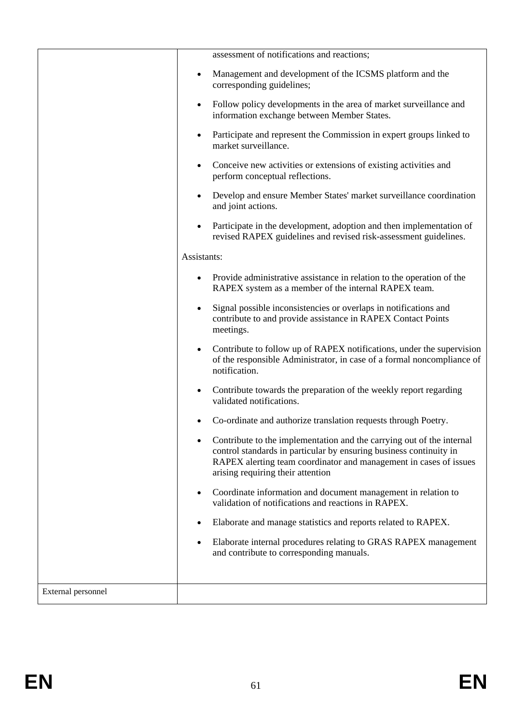|                    | assessment of notifications and reactions;                                                                                                                                                                                                                         |
|--------------------|--------------------------------------------------------------------------------------------------------------------------------------------------------------------------------------------------------------------------------------------------------------------|
|                    | Management and development of the ICSMS platform and the<br>$\bullet$<br>corresponding guidelines;                                                                                                                                                                 |
|                    | Follow policy developments in the area of market surveillance and<br>$\bullet$<br>information exchange between Member States.                                                                                                                                      |
|                    | Participate and represent the Commission in expert groups linked to<br>$\bullet$<br>market surveillance.                                                                                                                                                           |
|                    | Conceive new activities or extensions of existing activities and<br>$\bullet$<br>perform conceptual reflections.                                                                                                                                                   |
|                    | Develop and ensure Member States' market surveillance coordination<br>and joint actions.                                                                                                                                                                           |
|                    | Participate in the development, adoption and then implementation of<br>$\bullet$<br>revised RAPEX guidelines and revised risk-assessment guidelines.                                                                                                               |
|                    | Assistants:                                                                                                                                                                                                                                                        |
|                    | Provide administrative assistance in relation to the operation of the<br>RAPEX system as a member of the internal RAPEX team.                                                                                                                                      |
|                    | Signal possible inconsistencies or overlaps in notifications and<br>$\bullet$<br>contribute to and provide assistance in RAPEX Contact Points<br>meetings.                                                                                                         |
|                    | Contribute to follow up of RAPEX notifications, under the supervision<br>$\bullet$<br>of the responsible Administrator, in case of a formal noncompliance of<br>notification.                                                                                      |
|                    | Contribute towards the preparation of the weekly report regarding<br>$\bullet$<br>validated notifications.                                                                                                                                                         |
|                    | Co-ordinate and authorize translation requests through Poetry.                                                                                                                                                                                                     |
|                    | Contribute to the implementation and the carrying out of the internal<br>$\bullet$<br>control standards in particular by ensuring business continuity in<br>RAPEX alerting team coordinator and management in cases of issues<br>arising requiring their attention |
|                    | Coordinate information and document management in relation to<br>$\bullet$<br>validation of notifications and reactions in RAPEX.                                                                                                                                  |
|                    | Elaborate and manage statistics and reports related to RAPEX.                                                                                                                                                                                                      |
|                    | Elaborate internal procedures relating to GRAS RAPEX management<br>and contribute to corresponding manuals.                                                                                                                                                        |
| External personnel |                                                                                                                                                                                                                                                                    |
|                    |                                                                                                                                                                                                                                                                    |